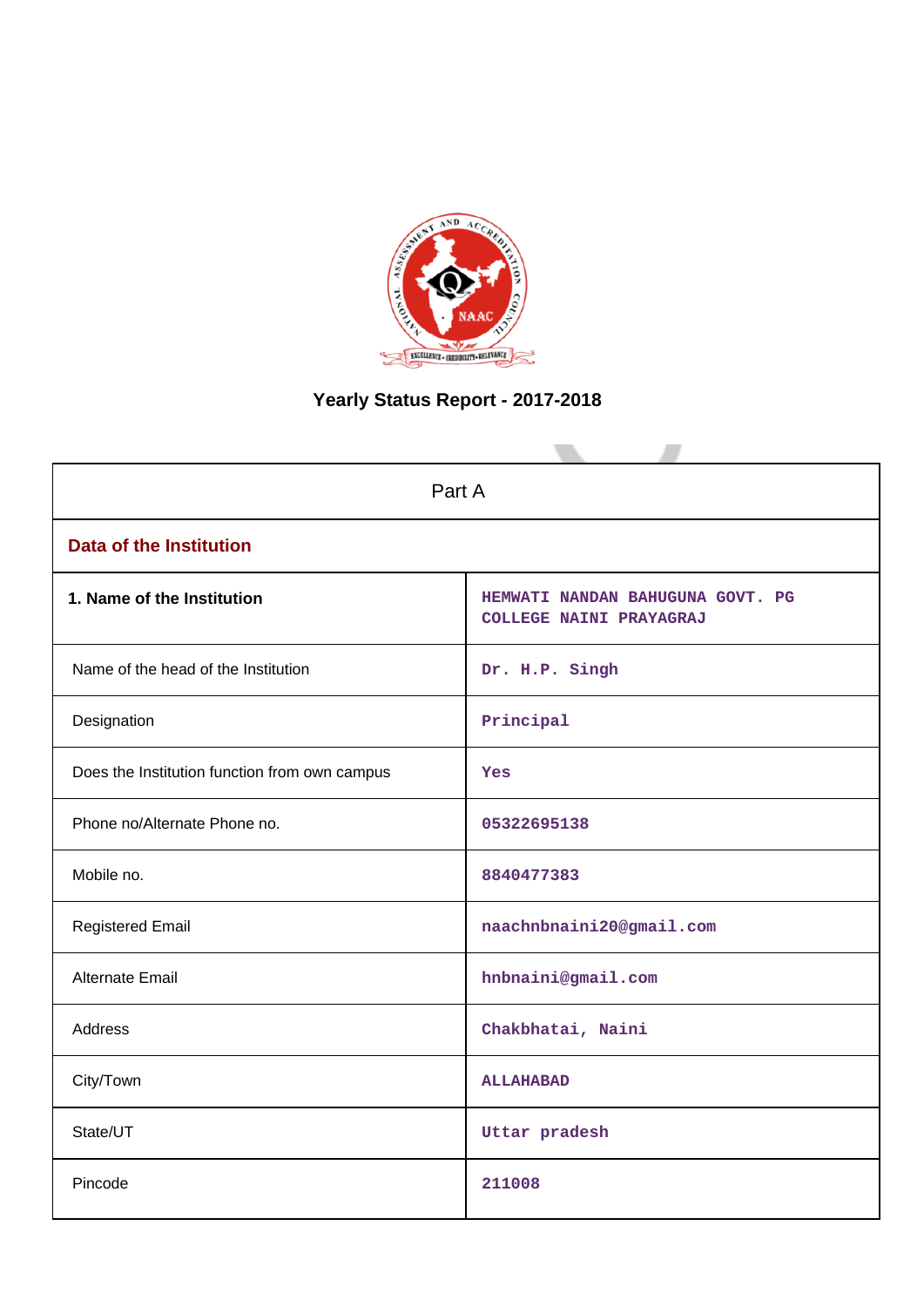

# **Yearly Status Report - 2017-2018**

| Part A                                        |                                                             |  |  |  |  |  |
|-----------------------------------------------|-------------------------------------------------------------|--|--|--|--|--|
| <b>Data of the Institution</b>                |                                                             |  |  |  |  |  |
| 1. Name of the Institution                    | HEMWATI NANDAN BAHUGUNA GOVT. PG<br>COLLEGE NAINI PRAYAGRAJ |  |  |  |  |  |
| Name of the head of the Institution           | Dr. H.P. Singh                                              |  |  |  |  |  |
| Designation                                   | Principal                                                   |  |  |  |  |  |
| Does the Institution function from own campus | Yes                                                         |  |  |  |  |  |
| Phone no/Alternate Phone no.                  | 05322695138                                                 |  |  |  |  |  |
| Mobile no.                                    | 8840477383                                                  |  |  |  |  |  |
| <b>Registered Email</b>                       | naachnbnaini20@gmail.com                                    |  |  |  |  |  |
| <b>Alternate Email</b>                        | hnbnaini@gmail.com                                          |  |  |  |  |  |
| <b>Address</b>                                | Chakbhatai, Naini                                           |  |  |  |  |  |
| City/Town                                     | <b>ALLAHABAD</b>                                            |  |  |  |  |  |
| State/UT                                      | Uttar pradesh                                               |  |  |  |  |  |
| Pincode                                       | 211008                                                      |  |  |  |  |  |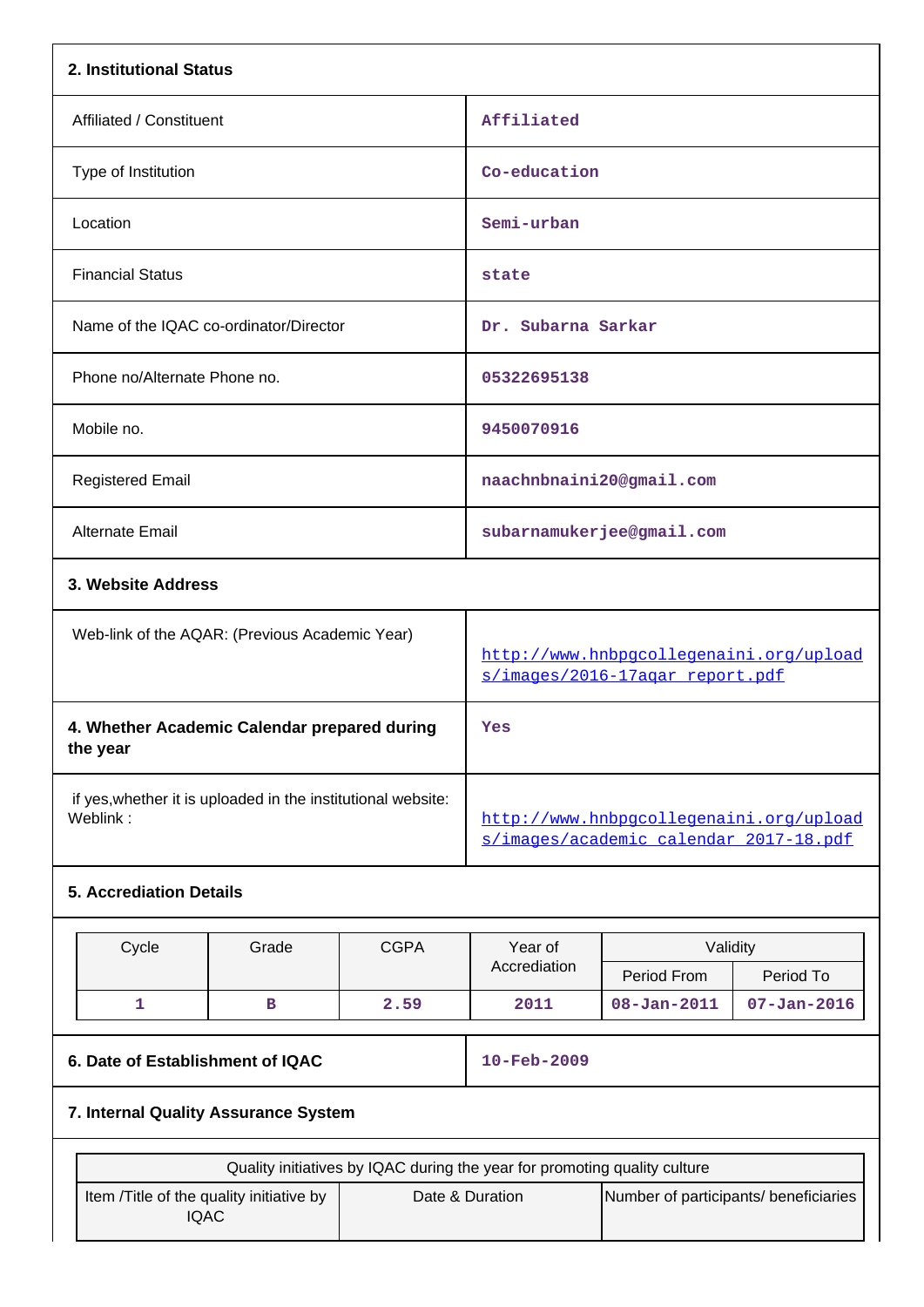| 2. Institutional Status                                                    |                    |             |                                                                                   |                                       |                   |  |  |
|----------------------------------------------------------------------------|--------------------|-------------|-----------------------------------------------------------------------------------|---------------------------------------|-------------------|--|--|
| Affiliated / Constituent                                                   |                    |             | Affiliated                                                                        |                                       |                   |  |  |
| Type of Institution                                                        |                    |             | Co-education                                                                      |                                       |                   |  |  |
| Location                                                                   |                    |             | Semi-urban                                                                        |                                       |                   |  |  |
| <b>Financial Status</b>                                                    |                    |             | state                                                                             |                                       |                   |  |  |
| Name of the IQAC co-ordinator/Director                                     |                    |             | Dr. Subarna Sarkar                                                                |                                       |                   |  |  |
| Phone no/Alternate Phone no.                                               |                    |             | 05322695138                                                                       |                                       |                   |  |  |
| Mobile no.                                                                 |                    |             | 9450070916                                                                        |                                       |                   |  |  |
| <b>Registered Email</b>                                                    |                    |             | naachnbnaini20@gmail.com                                                          |                                       |                   |  |  |
| Alternate Email                                                            |                    |             |                                                                                   | subarnamukerjee@gmail.com             |                   |  |  |
|                                                                            | 3. Website Address |             |                                                                                   |                                       |                   |  |  |
| Web-link of the AQAR: (Previous Academic Year)                             |                    |             | http://www.hnbpgcollegenaini.org/upload<br>s/images/2016-17agar_report.pdf        |                                       |                   |  |  |
| 4. Whether Academic Calendar prepared during<br>the year                   |                    |             | Yes                                                                               |                                       |                   |  |  |
| if yes, whether it is uploaded in the institutional website:<br>Weblink:   |                    |             | http://www.hnbpgcollegenaini.org/upload<br>s/images/academic calendar 2017-18.pdf |                                       |                   |  |  |
| <b>5. Accrediation Details</b>                                             |                    |             |                                                                                   |                                       |                   |  |  |
| Cycle                                                                      | Grade              | <b>CGPA</b> | Year of                                                                           | Validity                              |                   |  |  |
|                                                                            |                    |             | Accrediation                                                                      | Period From                           | Period To         |  |  |
| 1                                                                          | в                  | 2.59        | 2011                                                                              | $08 - Jan - 2011$                     | $07 - Jan - 2016$ |  |  |
| 6. Date of Establishment of IQAC                                           |                    |             | 10-Feb-2009                                                                       |                                       |                   |  |  |
| 7. Internal Quality Assurance System                                       |                    |             |                                                                                   |                                       |                   |  |  |
| Quality initiatives by IQAC during the year for promoting quality culture  |                    |             |                                                                                   |                                       |                   |  |  |
| Item /Title of the quality initiative by<br>Date & Duration<br><b>IQAC</b> |                    |             |                                                                                   | Number of participants/ beneficiaries |                   |  |  |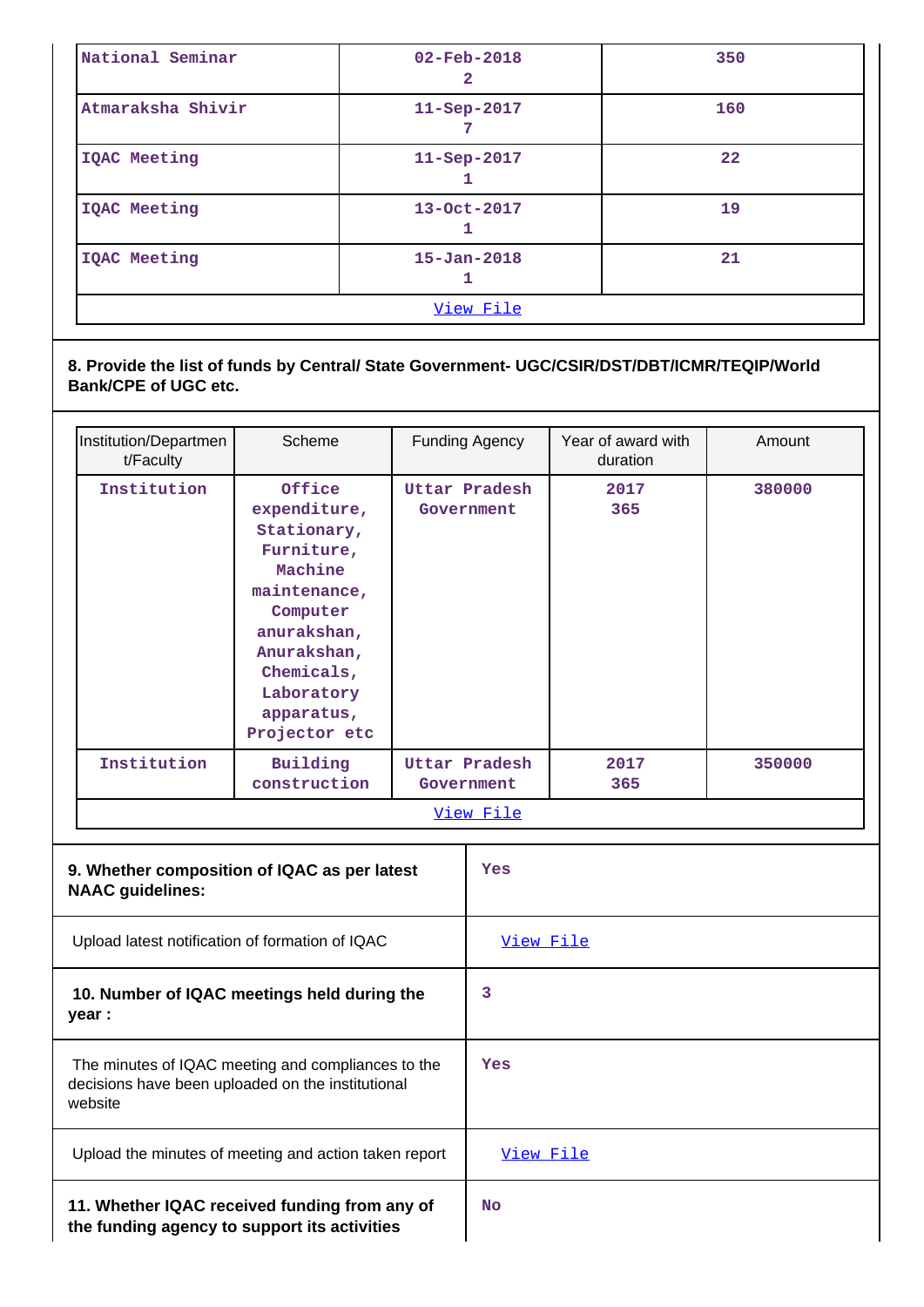| National Seminar  | $02 - Feb - 2018$<br>2 | 350 |  |  |  |
|-------------------|------------------------|-----|--|--|--|
| Atmaraksha Shivir | $11 -$ Sep $-2017$     | 160 |  |  |  |
| IQAC Meeting      | $11 -$ Sep $-2017$     | 22  |  |  |  |
| IQAC Meeting      | 13-Oct-2017<br>┸       | 19  |  |  |  |
| IQAC Meeting      | $15 - Jan - 2018$      | 21  |  |  |  |
| View File         |                        |     |  |  |  |

**8. Provide the list of funds by Central/ State Government- UGC/CSIR/DST/DBT/ICMR/TEQIP/World Bank/CPE of UGC etc.**

| Institution/Departmen                                                                                              | Scheme                                                 |  | <b>Funding Agency</b>              | Year of award with      | Amount |
|--------------------------------------------------------------------------------------------------------------------|--------------------------------------------------------|--|------------------------------------|-------------------------|--------|
| t/Faculty<br>Institution                                                                                           | Office<br>expenditure,<br>Stationary,                  |  | Uttar Pradesh<br>Government        | duration<br>2017<br>365 | 380000 |
|                                                                                                                    | Furniture,<br>Machine<br>maintenance,<br>Computer      |  |                                    |                         |        |
|                                                                                                                    | anurakshan,<br>Anurakshan,<br>Chemicals,<br>Laboratory |  |                                    |                         |        |
|                                                                                                                    | apparatus,<br>Projector etc                            |  |                                    |                         |        |
| Institution                                                                                                        | Building<br>construction                               |  | <b>Uttar Pradesh</b><br>Government | 2017<br>365             | 350000 |
|                                                                                                                    |                                                        |  | View File                          |                         |        |
| 9. Whether composition of IQAC as per latest<br><b>NAAC guidelines:</b>                                            |                                                        |  | Yes                                |                         |        |
| Upload latest notification of formation of IQAC                                                                    |                                                        |  | View File                          |                         |        |
| 10. Number of IQAC meetings held during the<br>year :                                                              |                                                        |  | 3                                  |                         |        |
| The minutes of IQAC meeting and compliances to the<br>decisions have been uploaded on the institutional<br>website |                                                        |  | Yes                                |                         |        |
| Upload the minutes of meeting and action taken report                                                              |                                                        |  | View File                          |                         |        |
| 11. Whether IQAC received funding from any of<br>the funding agency to support its activities                      |                                                        |  | <b>No</b>                          |                         |        |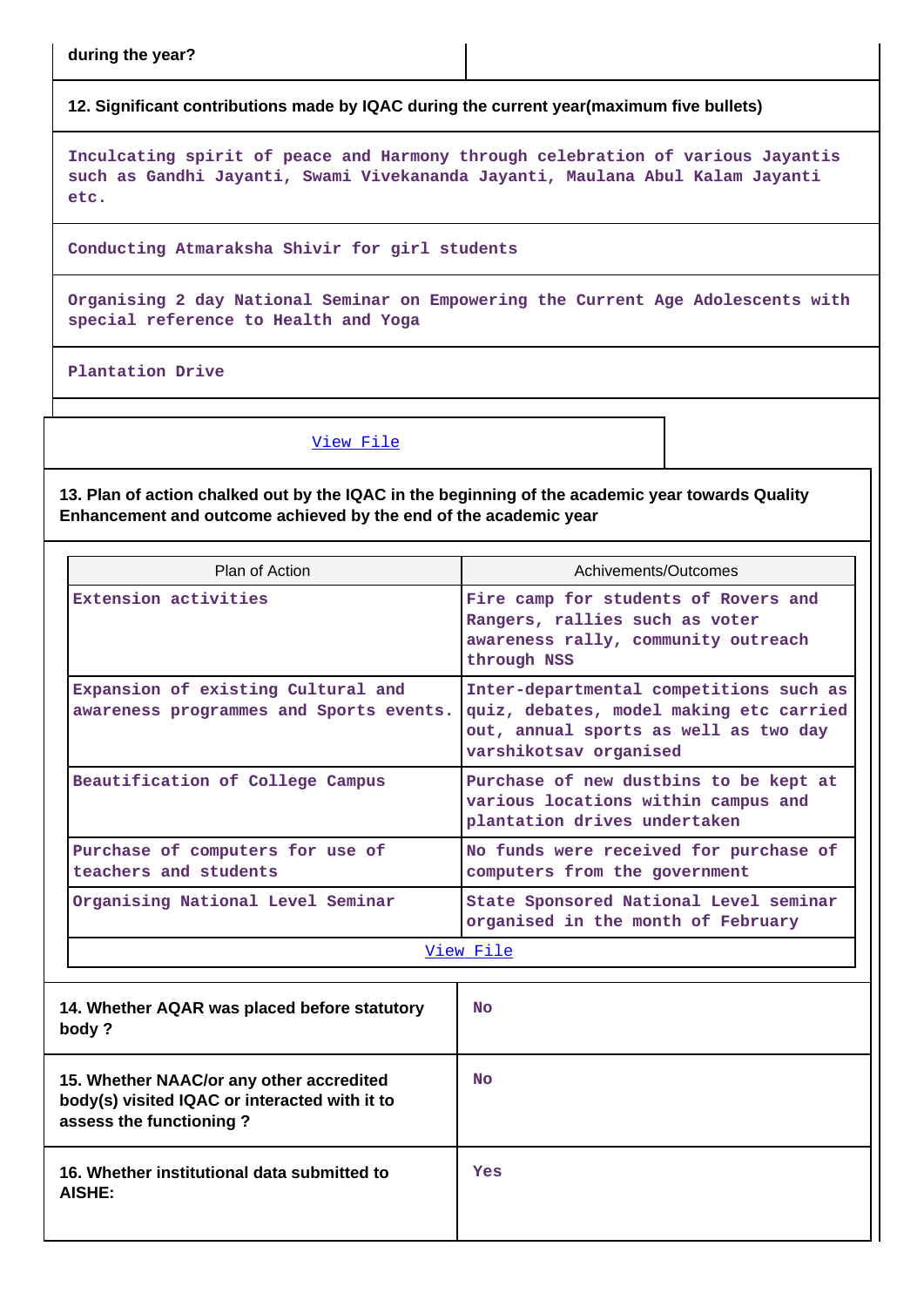**during the year?**

**12. Significant contributions made by IQAC during the current year(maximum five bullets)**

**Inculcating spirit of peace and Harmony through celebration of various Jayantis such as Gandhi Jayanti, Swami Vivekananda Jayanti, Maulana Abul Kalam Jayanti etc.**

**Conducting Atmaraksha Shivir for girl students**

**Organising 2 day National Seminar on Empowering the Current Age Adolescents with special reference to Health and Yoga**

**Plantation Drive**

[View File](https://assessmentonline.naac.gov.in/public/Postacc/Contribution/6137_Contribution.xlsx)

**13. Plan of action chalked out by the IQAC in the beginning of the academic year towards Quality Enhancement and outcome achieved by the end of the academic year**

| Plan of Action                                                                                                       | Achivements/Outcomes                                                                                                                                  |  |  |  |
|----------------------------------------------------------------------------------------------------------------------|-------------------------------------------------------------------------------------------------------------------------------------------------------|--|--|--|
| Extension activities                                                                                                 | Fire camp for students of Rovers and<br>Rangers, rallies such as voter<br>awareness rally, community outreach<br>through NSS                          |  |  |  |
| Expansion of existing Cultural and<br>awareness programmes and Sports events.                                        | Inter-departmental competitions such as<br>quiz, debates, model making etc carried<br>out, annual sports as well as two day<br>varshikotsav organised |  |  |  |
| Beautification of College Campus                                                                                     | Purchase of new dustbins to be kept at<br>various locations within campus and<br>plantation drives undertaken                                         |  |  |  |
| Purchase of computers for use of<br>teachers and students                                                            | No funds were received for purchase of<br>computers from the government                                                                               |  |  |  |
| Organising National Level Seminar                                                                                    | State Sponsored National Level seminar<br>organised in the month of February                                                                          |  |  |  |
|                                                                                                                      | View File                                                                                                                                             |  |  |  |
| 14. Whether AQAR was placed before statutory<br>body?                                                                | <b>No</b>                                                                                                                                             |  |  |  |
| 15. Whether NAAC/or any other accredited<br>body(s) visited IQAC or interacted with it to<br>assess the functioning? | N <sub>O</sub>                                                                                                                                        |  |  |  |
| 16. Whether institutional data submitted to<br>AISHE:                                                                | Yes                                                                                                                                                   |  |  |  |
|                                                                                                                      |                                                                                                                                                       |  |  |  |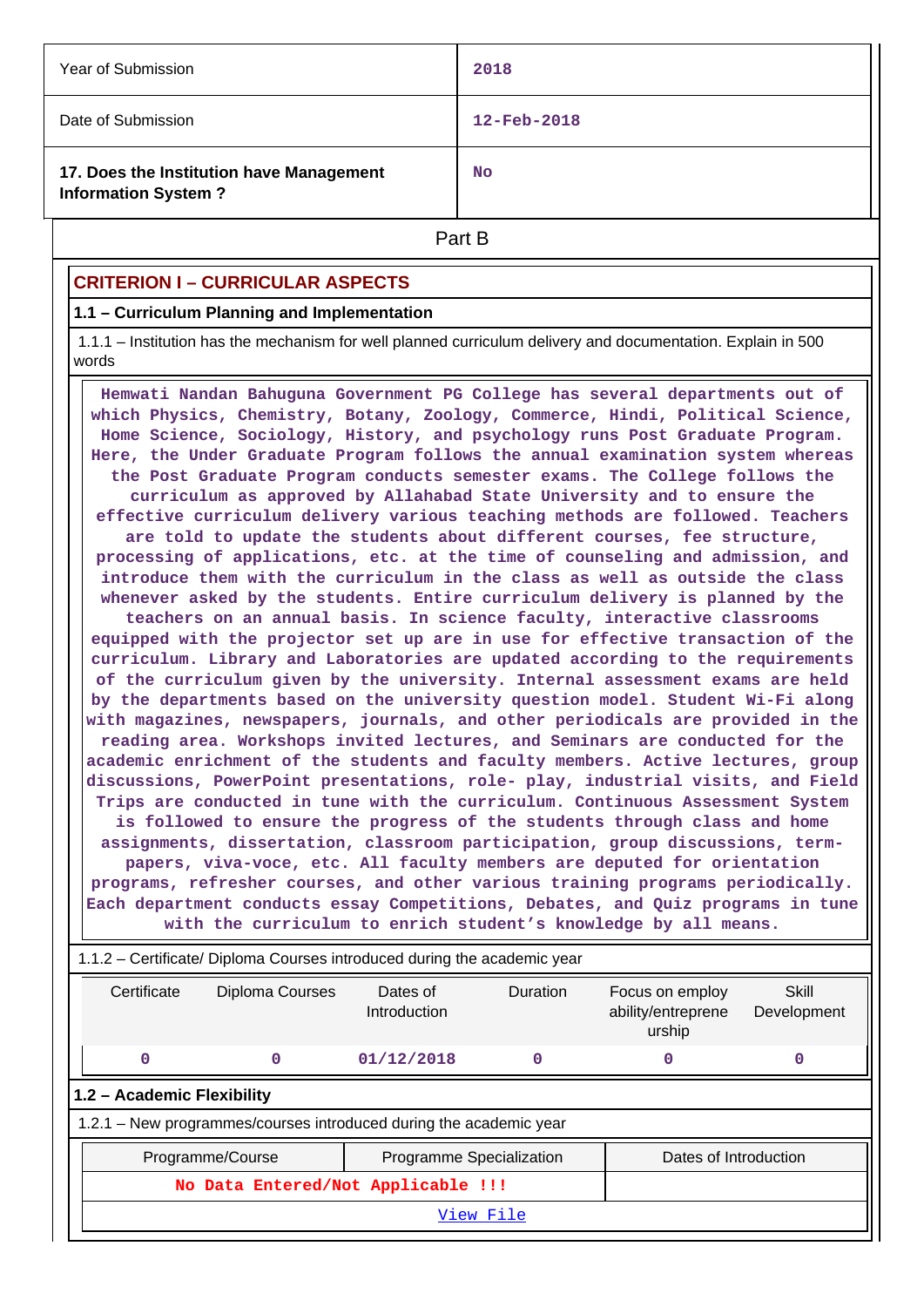| Year of Submission                                                     | 2018                     |  |  |
|------------------------------------------------------------------------|--------------------------|--|--|
| Date of Submission                                                     | $12 - \text{Feb} - 2018$ |  |  |
| 17. Does the Institution have Management<br><b>Information System?</b> | <b>No</b>                |  |  |
| Part B                                                                 |                          |  |  |

## **CRITERION I – CURRICULAR ASPECTS**

#### **1.1 – Curriculum Planning and Implementation**

 1.1.1 – Institution has the mechanism for well planned curriculum delivery and documentation. Explain in 500 words

 **Hemwati Nandan Bahuguna Government PG College has several departments out of which Physics, Chemistry, Botany, Zoology, Commerce, Hindi, Political Science, Home Science, Sociology, History, and psychology runs Post Graduate Program. Here, the Under Graduate Program follows the annual examination system whereas the Post Graduate Program conducts semester exams. The College follows the curriculum as approved by Allahabad State University and to ensure the effective curriculum delivery various teaching methods are followed. Teachers are told to update the students about different courses, fee structure, processing of applications, etc. at the time of counseling and admission, and introduce them with the curriculum in the class as well as outside the class whenever asked by the students. Entire curriculum delivery is planned by the teachers on an annual basis. In science faculty, interactive classrooms equipped with the projector set up are in use for effective transaction of the curriculum. Library and Laboratories are updated according to the requirements of the curriculum given by the university. Internal assessment exams are held by the departments based on the university question model. Student Wi-Fi along with magazines, newspapers, journals, and other periodicals are provided in the reading area. Workshops invited lectures, and Seminars are conducted for the academic enrichment of the students and faculty members. Active lectures, group discussions, PowerPoint presentations, role- play, industrial visits, and Field Trips are conducted in tune with the curriculum. Continuous Assessment System is followed to ensure the progress of the students through class and home assignments, dissertation, classroom participation, group discussions, termpapers, viva-voce, etc. All faculty members are deputed for orientation programs, refresher courses, and other various training programs periodically. Each department conducts essay Competitions, Debates, and Quiz programs in tune with the curriculum to enrich student's knowledge by all means.**

|                                                                          |                                    | with the curriculum to enrich student's knowledge by all means.    |                          |                 |                                                 |                      |  |  |  |
|--------------------------------------------------------------------------|------------------------------------|--------------------------------------------------------------------|--------------------------|-----------------|-------------------------------------------------|----------------------|--|--|--|
| 1.1.2 – Certificate/ Diploma Courses introduced during the academic year |                                    |                                                                    |                          |                 |                                                 |                      |  |  |  |
|                                                                          | Certificate                        | Diploma Courses                                                    | Dates of<br>Introduction | <b>Duration</b> | Focus on employ<br>ability/entreprene<br>urship | Skill<br>Development |  |  |  |
|                                                                          | $\mathbf 0$                        | 0                                                                  | 01/12/2018               | $\mathbf 0$     | 0                                               | 0                    |  |  |  |
|                                                                          | 1.2 - Academic Flexibility         |                                                                    |                          |                 |                                                 |                      |  |  |  |
|                                                                          |                                    | 1.2.1 – New programmes/courses introduced during the academic year |                          |                 |                                                 |                      |  |  |  |
|                                                                          |                                    | Programme/Course                                                   | Programme Specialization |                 | Dates of Introduction                           |                      |  |  |  |
|                                                                          | No Data Entered/Not Applicable !!! |                                                                    |                          |                 |                                                 |                      |  |  |  |
|                                                                          | View File                          |                                                                    |                          |                 |                                                 |                      |  |  |  |
|                                                                          |                                    |                                                                    |                          |                 |                                                 |                      |  |  |  |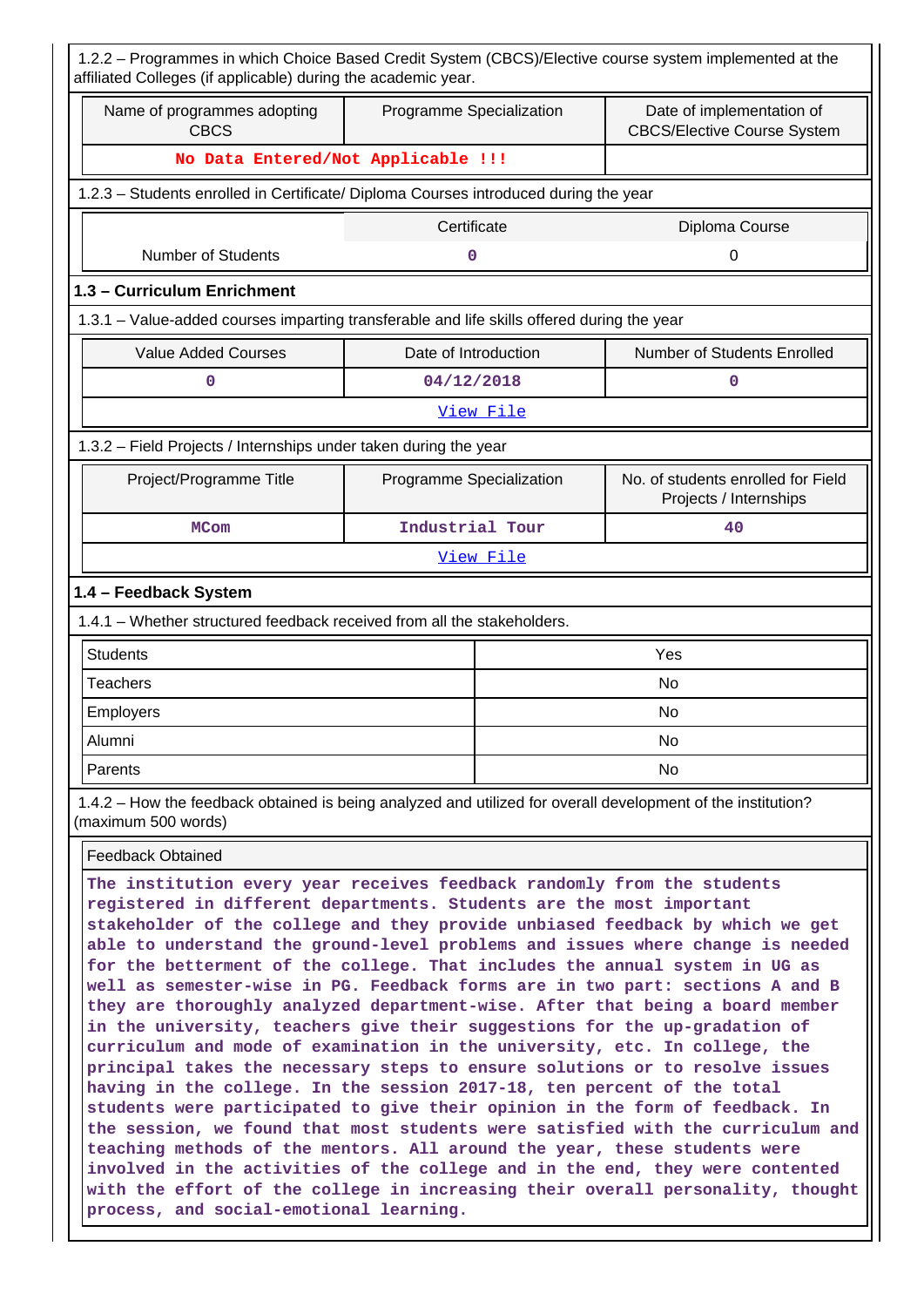| 1.2.2 - Programmes in which Choice Based Credit System (CBCS)/Elective course system implemented at the<br>affiliated Colleges (if applicable) during the academic year.                                                                                                                                           |                          |           |                                                                 |  |  |  |  |  |
|--------------------------------------------------------------------------------------------------------------------------------------------------------------------------------------------------------------------------------------------------------------------------------------------------------------------|--------------------------|-----------|-----------------------------------------------------------------|--|--|--|--|--|
| Name of programmes adopting<br><b>CBCS</b>                                                                                                                                                                                                                                                                         | Programme Specialization |           | Date of implementation of<br><b>CBCS/Elective Course System</b> |  |  |  |  |  |
| No Data Entered/Not Applicable !!!                                                                                                                                                                                                                                                                                 |                          |           |                                                                 |  |  |  |  |  |
| 1.2.3 - Students enrolled in Certificate/ Diploma Courses introduced during the year                                                                                                                                                                                                                               |                          |           |                                                                 |  |  |  |  |  |
| Certificate<br>Diploma Course                                                                                                                                                                                                                                                                                      |                          |           |                                                                 |  |  |  |  |  |
| <b>Number of Students</b>                                                                                                                                                                                                                                                                                          | 0                        |           | 0                                                               |  |  |  |  |  |
| 1.3 - Curriculum Enrichment                                                                                                                                                                                                                                                                                        |                          |           |                                                                 |  |  |  |  |  |
| 1.3.1 - Value-added courses imparting transferable and life skills offered during the year                                                                                                                                                                                                                         |                          |           |                                                                 |  |  |  |  |  |
| <b>Value Added Courses</b>                                                                                                                                                                                                                                                                                         | Date of Introduction     |           | Number of Students Enrolled                                     |  |  |  |  |  |
| 0                                                                                                                                                                                                                                                                                                                  | 04/12/2018               |           | 0                                                               |  |  |  |  |  |
| View File                                                                                                                                                                                                                                                                                                          |                          |           |                                                                 |  |  |  |  |  |
| 1.3.2 - Field Projects / Internships under taken during the year                                                                                                                                                                                                                                                   |                          |           |                                                                 |  |  |  |  |  |
| Project/Programme Title                                                                                                                                                                                                                                                                                            | Programme Specialization |           | No. of students enrolled for Field<br>Projects / Internships    |  |  |  |  |  |
| <b>MCom</b>                                                                                                                                                                                                                                                                                                        | Industrial Tour          |           | 40                                                              |  |  |  |  |  |
|                                                                                                                                                                                                                                                                                                                    |                          | View File |                                                                 |  |  |  |  |  |
| 1.4 - Feedback System                                                                                                                                                                                                                                                                                              |                          |           |                                                                 |  |  |  |  |  |
| 1.4.1 - Whether structured feedback received from all the stakeholders.                                                                                                                                                                                                                                            |                          |           |                                                                 |  |  |  |  |  |
| <b>Students</b>                                                                                                                                                                                                                                                                                                    |                          |           | Yes                                                             |  |  |  |  |  |
| <b>Teachers</b>                                                                                                                                                                                                                                                                                                    |                          |           | No                                                              |  |  |  |  |  |
| Employers                                                                                                                                                                                                                                                                                                          |                          | No        |                                                                 |  |  |  |  |  |
| Alumni                                                                                                                                                                                                                                                                                                             |                          |           | No                                                              |  |  |  |  |  |
| Parents                                                                                                                                                                                                                                                                                                            |                          |           | No.                                                             |  |  |  |  |  |
| 1.4.2 – How the feedback obtained is being analyzed and utilized for overall development of the institution?<br>(maximum 500 words)                                                                                                                                                                                |                          |           |                                                                 |  |  |  |  |  |
| <b>Feedback Obtained</b>                                                                                                                                                                                                                                                                                           |                          |           |                                                                 |  |  |  |  |  |
| The institution every year receives feedback randomly from the students<br>registered in different departments. Students are the most important<br>stakeholder of the college and they provide unbiased feedback by which we get<br>able to understand the ground-level problems and issues where change is needed |                          |           |                                                                 |  |  |  |  |  |

**principal takes the necessary steps to ensure solutions or to resolve issues having in the college. In the session 2017-18, ten percent of the total students were participated to give their opinion in the form of feedback. In the session, we found that most students were satisfied with the curriculum and teaching methods of the mentors. All around the year, these students were involved in the activities of the college and in the end, they were contented with the effort of the college in increasing their overall personality, thought process, and social-emotional learning.**

**for the betterment of the college. That includes the annual system in UG as well as semester-wise in PG. Feedback forms are in two part: sections A and B they are thoroughly analyzed department-wise. After that being a board member in the university, teachers give their suggestions for the up-gradation of curriculum and mode of examination in the university, etc. In college, the**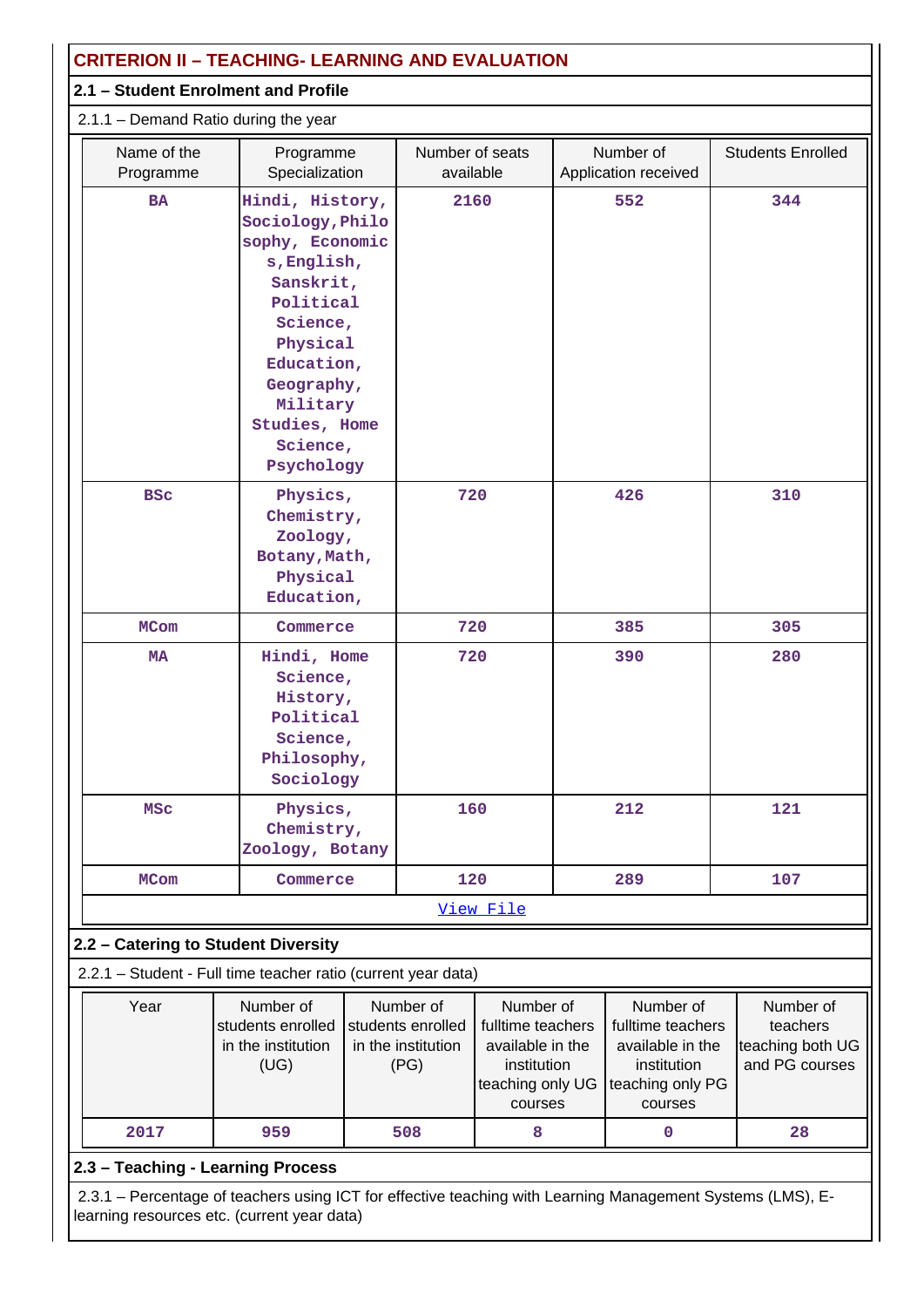| <b>CRITERION II - TEACHING- LEARNING AND EVALUATION</b>                                                                                                                                                                 |                                                                                          |  |                                                              |                                                                                                  |     |                                                                                                  |     |                                                             |  |
|-------------------------------------------------------------------------------------------------------------------------------------------------------------------------------------------------------------------------|------------------------------------------------------------------------------------------|--|--------------------------------------------------------------|--------------------------------------------------------------------------------------------------|-----|--------------------------------------------------------------------------------------------------|-----|-------------------------------------------------------------|--|
| 2.1 - Student Enrolment and Profile                                                                                                                                                                                     |                                                                                          |  |                                                              |                                                                                                  |     |                                                                                                  |     |                                                             |  |
| 2.1.1 - Demand Ratio during the year                                                                                                                                                                                    |                                                                                          |  |                                                              |                                                                                                  |     |                                                                                                  |     |                                                             |  |
| Name of the<br>Programme                                                                                                                                                                                                | Programme<br>Specialization                                                              |  | Number of seats<br>available                                 |                                                                                                  |     | Number of<br>Application received                                                                |     | <b>Students Enrolled</b>                                    |  |
| Hindi, History,<br><b>BA</b><br>Sociology, Philo<br>sophy, Economic<br>s, English,<br>Sanskrit,<br>Political<br>Science,<br>Physical<br>Education,<br>Geography,<br>Military<br>Studies, Home<br>Science,<br>Psychology |                                                                                          |  | 2160                                                         |                                                                                                  | 552 |                                                                                                  | 344 |                                                             |  |
| <b>BSC</b><br>Physics,<br>Chemistry,<br>Zoology,<br>Botany, Math,<br>Physical<br>Education,                                                                                                                             |                                                                                          |  | 720                                                          |                                                                                                  |     | 426                                                                                              |     | 310                                                         |  |
| <b>MCom</b>                                                                                                                                                                                                             | Commerce                                                                                 |  | 720                                                          |                                                                                                  |     | 385                                                                                              |     | 305                                                         |  |
| <b>MA</b>                                                                                                                                                                                                               | Hindi, Home<br>Science,<br>History,<br>Political<br>Science,<br>Philosophy,<br>Sociology |  | 720                                                          |                                                                                                  |     | 390                                                                                              |     | 280                                                         |  |
| <b>MSC</b>                                                                                                                                                                                                              | Physics,<br>Chemistry,<br>Zoology, Botany                                                |  | 160                                                          |                                                                                                  |     | 212                                                                                              |     | 121                                                         |  |
| <b>MCom</b>                                                                                                                                                                                                             | Commerce                                                                                 |  | 120                                                          |                                                                                                  |     | 289                                                                                              |     | 107                                                         |  |
|                                                                                                                                                                                                                         |                                                                                          |  |                                                              | View File                                                                                        |     |                                                                                                  |     |                                                             |  |
| 2.2 - Catering to Student Diversity                                                                                                                                                                                     |                                                                                          |  |                                                              |                                                                                                  |     |                                                                                                  |     |                                                             |  |
| 2.2.1 - Student - Full time teacher ratio (current year data)                                                                                                                                                           |                                                                                          |  |                                                              |                                                                                                  |     |                                                                                                  |     |                                                             |  |
| Year                                                                                                                                                                                                                    | Number of<br>students enrolled<br>in the institution<br>(UG)                             |  | Number of<br>students enrolled<br>in the institution<br>(PG) | Number of<br>fulltime teachers<br>available in the<br>institution<br>teaching only UG<br>courses |     | Number of<br>fulltime teachers<br>available in the<br>institution<br>teaching only PG<br>courses |     | Number of<br>teachers<br>teaching both UG<br>and PG courses |  |
| 2017                                                                                                                                                                                                                    | 959                                                                                      |  | 508                                                          | 8                                                                                                |     | 0                                                                                                |     | 28                                                          |  |
| 2.3 - Teaching - Learning Process                                                                                                                                                                                       |                                                                                          |  |                                                              |                                                                                                  |     |                                                                                                  |     |                                                             |  |
| 2.3.1 - Percentage of teachers using ICT for effective teaching with Learning Management Systems (LMS), E-<br>learning resources etc. (current year data)                                                               |                                                                                          |  |                                                              |                                                                                                  |     |                                                                                                  |     |                                                             |  |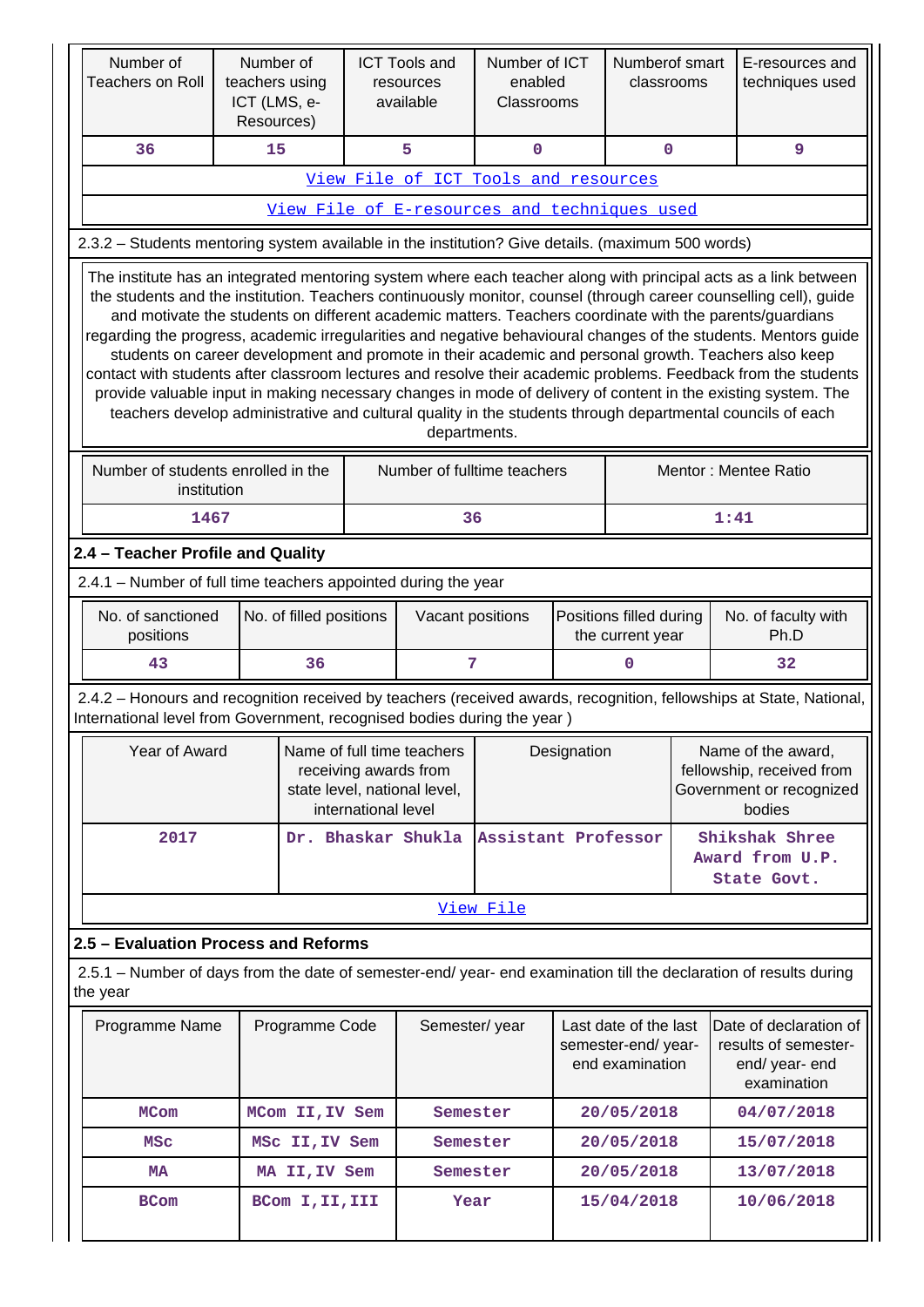| Number of<br><b>Teachers on Roll</b>                                                                                                                                                                                                                                                                                                                                                                                                                                                                                                                                                                                                                                                                                                                                                                                                                                                                                                        | teachers using<br>ICT (LMS, e- | Number of<br>Resources) |                     | <b>ICT Tools and</b><br>resources<br>available                                                     | Number of ICT<br>enabled<br>Classrooms |                                                                                       | Numberof smart<br>classrooms |                             | E-resources and<br>techniques used                                                                                  |
|---------------------------------------------------------------------------------------------------------------------------------------------------------------------------------------------------------------------------------------------------------------------------------------------------------------------------------------------------------------------------------------------------------------------------------------------------------------------------------------------------------------------------------------------------------------------------------------------------------------------------------------------------------------------------------------------------------------------------------------------------------------------------------------------------------------------------------------------------------------------------------------------------------------------------------------------|--------------------------------|-------------------------|---------------------|----------------------------------------------------------------------------------------------------|----------------------------------------|---------------------------------------------------------------------------------------|------------------------------|-----------------------------|---------------------------------------------------------------------------------------------------------------------|
| 36                                                                                                                                                                                                                                                                                                                                                                                                                                                                                                                                                                                                                                                                                                                                                                                                                                                                                                                                          | 15                             |                         |                     | 5                                                                                                  | $\mathbf 0$                            |                                                                                       | $\mathbf 0$                  |                             | $\overline{9}$                                                                                                      |
|                                                                                                                                                                                                                                                                                                                                                                                                                                                                                                                                                                                                                                                                                                                                                                                                                                                                                                                                             |                                |                         |                     | View File of ICT Tools and resources                                                               |                                        |                                                                                       |                              |                             |                                                                                                                     |
|                                                                                                                                                                                                                                                                                                                                                                                                                                                                                                                                                                                                                                                                                                                                                                                                                                                                                                                                             |                                |                         |                     | View File of E-resources and techniques used                                                       |                                        |                                                                                       |                              |                             |                                                                                                                     |
| 2.3.2 - Students mentoring system available in the institution? Give details. (maximum 500 words)                                                                                                                                                                                                                                                                                                                                                                                                                                                                                                                                                                                                                                                                                                                                                                                                                                           |                                |                         |                     |                                                                                                    |                                        |                                                                                       |                              |                             |                                                                                                                     |
| The institute has an integrated mentoring system where each teacher along with principal acts as a link between<br>the students and the institution. Teachers continuously monitor, counsel (through career counselling cell), guide<br>and motivate the students on different academic matters. Teachers coordinate with the parents/guardians<br>regarding the progress, academic irregularities and negative behavioural changes of the students. Mentors guide<br>students on career development and promote in their academic and personal growth. Teachers also keep<br>contact with students after classroom lectures and resolve their academic problems. Feedback from the students<br>provide valuable input in making necessary changes in mode of delivery of content in the existing system. The<br>teachers develop administrative and cultural quality in the students through departmental councils of each<br>departments. |                                |                         |                     |                                                                                                    |                                        |                                                                                       |                              |                             |                                                                                                                     |
| Number of students enrolled in the<br>Number of fulltime teachers<br>Mentor: Mentee Ratio<br>institution                                                                                                                                                                                                                                                                                                                                                                                                                                                                                                                                                                                                                                                                                                                                                                                                                                    |                                |                         |                     |                                                                                                    |                                        |                                                                                       |                              |                             |                                                                                                                     |
| 1467<br>36<br>1:41                                                                                                                                                                                                                                                                                                                                                                                                                                                                                                                                                                                                                                                                                                                                                                                                                                                                                                                          |                                |                         |                     |                                                                                                    |                                        |                                                                                       |                              |                             |                                                                                                                     |
| 2.4 - Teacher Profile and Quality                                                                                                                                                                                                                                                                                                                                                                                                                                                                                                                                                                                                                                                                                                                                                                                                                                                                                                           |                                |                         |                     |                                                                                                    |                                        |                                                                                       |                              |                             |                                                                                                                     |
| 2.4.1 - Number of full time teachers appointed during the year                                                                                                                                                                                                                                                                                                                                                                                                                                                                                                                                                                                                                                                                                                                                                                                                                                                                              |                                |                         |                     |                                                                                                    |                                        |                                                                                       |                              |                             |                                                                                                                     |
| No. of sanctioned<br>positions                                                                                                                                                                                                                                                                                                                                                                                                                                                                                                                                                                                                                                                                                                                                                                                                                                                                                                              |                                | No. of filled positions |                     | Vacant positions                                                                                   |                                        | Positions filled during<br>the current year                                           |                              | No. of faculty with<br>Ph.D |                                                                                                                     |
| 43                                                                                                                                                                                                                                                                                                                                                                                                                                                                                                                                                                                                                                                                                                                                                                                                                                                                                                                                          |                                | 36                      |                     | 7                                                                                                  |                                        |                                                                                       | $\mathbf 0$                  |                             | 32                                                                                                                  |
| International level from Government, recognised bodies during the year)                                                                                                                                                                                                                                                                                                                                                                                                                                                                                                                                                                                                                                                                                                                                                                                                                                                                     |                                |                         |                     |                                                                                                    |                                        |                                                                                       |                              |                             | 2.4.2 - Honours and recognition received by teachers (received awards, recognition, fellowships at State, National, |
| Year of Award                                                                                                                                                                                                                                                                                                                                                                                                                                                                                                                                                                                                                                                                                                                                                                                                                                                                                                                               |                                |                         | international level | Name of full time teachers<br>Designation<br>receiving awards from<br>state level, national level, |                                        | Name of the award,<br>fellowship, received from<br>Government or recognized<br>bodies |                              |                             |                                                                                                                     |
| 2017                                                                                                                                                                                                                                                                                                                                                                                                                                                                                                                                                                                                                                                                                                                                                                                                                                                                                                                                        |                                |                         |                     | Dr. Bhaskar Shukla                                                                                 | Assistant Professor                    |                                                                                       |                              |                             | Shikshak Shree<br>Award from U.P.<br>State Govt.                                                                    |
|                                                                                                                                                                                                                                                                                                                                                                                                                                                                                                                                                                                                                                                                                                                                                                                                                                                                                                                                             |                                |                         |                     |                                                                                                    | View File                              |                                                                                       |                              |                             |                                                                                                                     |
| 2.5 - Evaluation Process and Reforms                                                                                                                                                                                                                                                                                                                                                                                                                                                                                                                                                                                                                                                                                                                                                                                                                                                                                                        |                                |                         |                     |                                                                                                    |                                        |                                                                                       |                              |                             |                                                                                                                     |
| the year                                                                                                                                                                                                                                                                                                                                                                                                                                                                                                                                                                                                                                                                                                                                                                                                                                                                                                                                    |                                |                         |                     |                                                                                                    |                                        |                                                                                       |                              |                             | 2.5.1 – Number of days from the date of semester-end/ year- end examination till the declaration of results during  |
| Programme Name                                                                                                                                                                                                                                                                                                                                                                                                                                                                                                                                                                                                                                                                                                                                                                                                                                                                                                                              |                                | Programme Code          |                     | Semester/year                                                                                      |                                        | Last date of the last<br>semester-end/year-<br>end examination                        |                              |                             | Date of declaration of<br>results of semester-<br>end/ year- end<br>examination                                     |
| <b>MCom</b>                                                                                                                                                                                                                                                                                                                                                                                                                                                                                                                                                                                                                                                                                                                                                                                                                                                                                                                                 |                                | MCom II, IV Sem         |                     | Semester                                                                                           |                                        |                                                                                       | 20/05/2018                   |                             | 04/07/2018                                                                                                          |
| MSC                                                                                                                                                                                                                                                                                                                                                                                                                                                                                                                                                                                                                                                                                                                                                                                                                                                                                                                                         |                                | MSC II, IV Sem          |                     | Semester                                                                                           |                                        |                                                                                       | 20/05/2018                   |                             | 15/07/2018                                                                                                          |
| <b>MA</b>                                                                                                                                                                                                                                                                                                                                                                                                                                                                                                                                                                                                                                                                                                                                                                                                                                                                                                                                   |                                | MA II, IV Sem           |                     | Semester                                                                                           |                                        |                                                                                       | 20/05/2018                   |                             | 13/07/2018                                                                                                          |
| <b>BCom</b>                                                                                                                                                                                                                                                                                                                                                                                                                                                                                                                                                                                                                                                                                                                                                                                                                                                                                                                                 |                                | BCom I, II, III         |                     | Year                                                                                               |                                        |                                                                                       | 15/04/2018                   |                             | 10/06/2018                                                                                                          |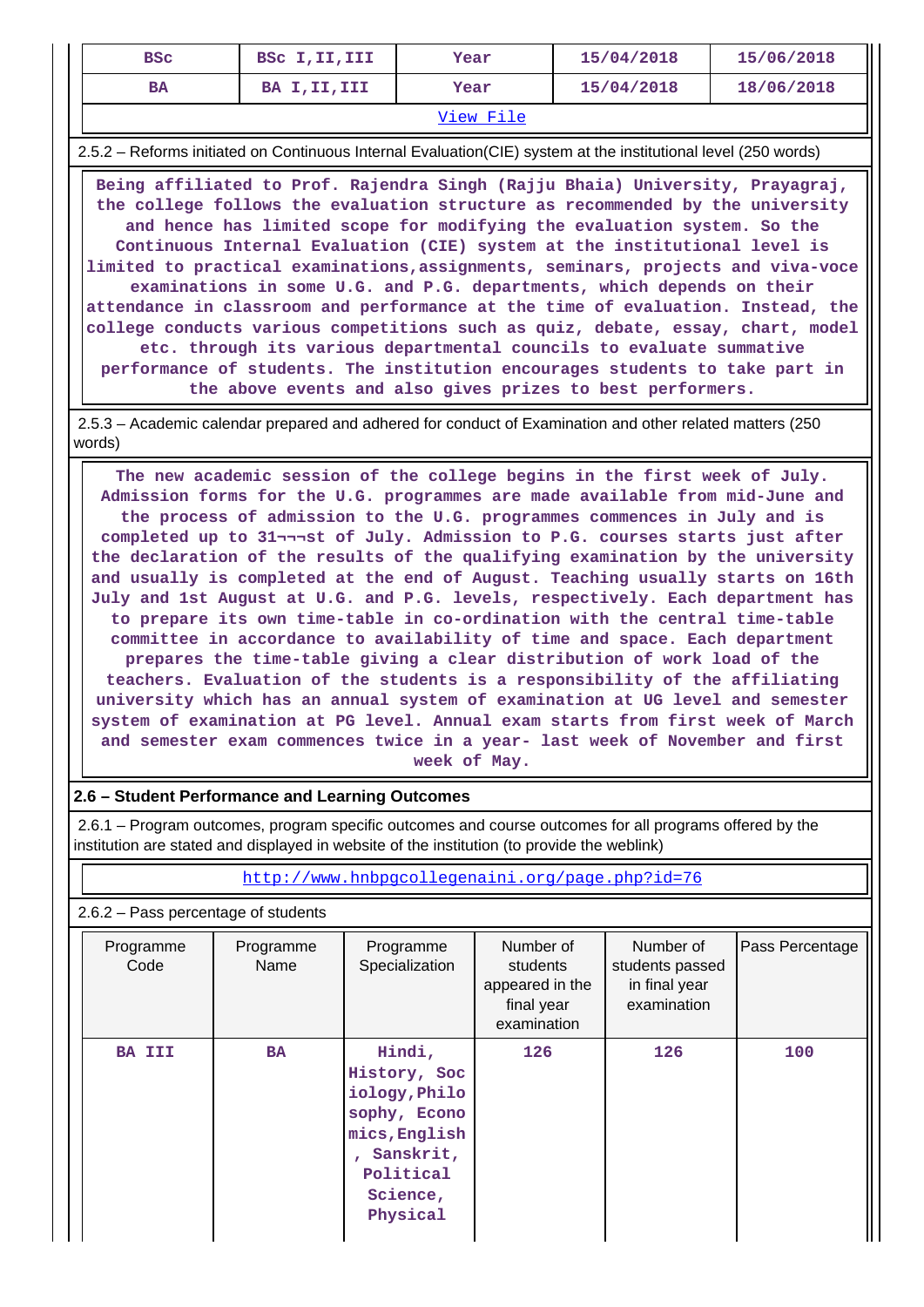| <b>BSC</b> | BSC I, II, III | Year | 15/04/2018 | 15/06/2018 |  |  |  |
|------------|----------------|------|------------|------------|--|--|--|
| <b>BA</b>  | BA I, II, III  | Year | 15/04/2018 | 18/06/2018 |  |  |  |
| View File  |                |      |            |            |  |  |  |

2.5.2 – Reforms initiated on Continuous Internal Evaluation(CIE) system at the institutional level (250 words)

 **Being affiliated to Prof. Rajendra Singh (Rajju Bhaia) University, Prayagraj, the college follows the evaluation structure as recommended by the university and hence has limited scope for modifying the evaluation system. So the Continuous Internal Evaluation (CIE) system at the institutional level is limited to practical examinations,assignments, seminars, projects and viva-voce examinations in some U.G. and P.G. departments, which depends on their attendance in classroom and performance at the time of evaluation. Instead, the college conducts various competitions such as quiz, debate, essay, chart, model etc. through its various departmental councils to evaluate summative performance of students. The institution encourages students to take part in the above events and also gives prizes to best performers.**

 2.5.3 – Academic calendar prepared and adhered for conduct of Examination and other related matters (250 words)

 **The new academic session of the college begins in the first week of July. Admission forms for the U.G. programmes are made available from mid-June and the process of admission to the U.G. programmes commences in July and is completed up to 31¬¬¬st of July. Admission to P.G. courses starts just after the declaration of the results of the qualifying examination by the university and usually is completed at the end of August. Teaching usually starts on 16th July and 1st August at U.G. and P.G. levels, respectively. Each department has to prepare its own time-table in co-ordination with the central time-table committee in accordance to availability of time and space. Each department prepares the time-table giving a clear distribution of work load of the teachers. Evaluation of the students is a responsibility of the affiliating university which has an annual system of examination at UG level and semester system of examination at PG level. Annual exam starts from first week of March and semester exam commences twice in a year- last week of November and first week of May.**

### **2.6 – Student Performance and Learning Outcomes**

 2.6.1 – Program outcomes, program specific outcomes and course outcomes for all programs offered by the institution are stated and displayed in website of the institution (to provide the weblink)

<http://www.hnbpgcollegenaini.org/page.php?id=76>

### 2.6.2 – Pass percentage of students

| Programme<br>Code | Programme<br>Name | Programme<br>Specialization                                                                                                | Number of<br>students<br>appeared in the<br>final year<br>examination | Number of<br>students passed<br>in final year<br>examination | Pass Percentage |
|-------------------|-------------------|----------------------------------------------------------------------------------------------------------------------------|-----------------------------------------------------------------------|--------------------------------------------------------------|-----------------|
| <b>BA III</b>     | <b>BA</b>         | Hindi,<br>History, Soc<br>iology, Philo<br>sophy, Econo<br>mics, English<br>Sanskrit,<br>Political<br>Science,<br>Physical | 126                                                                   | 126                                                          | 100             |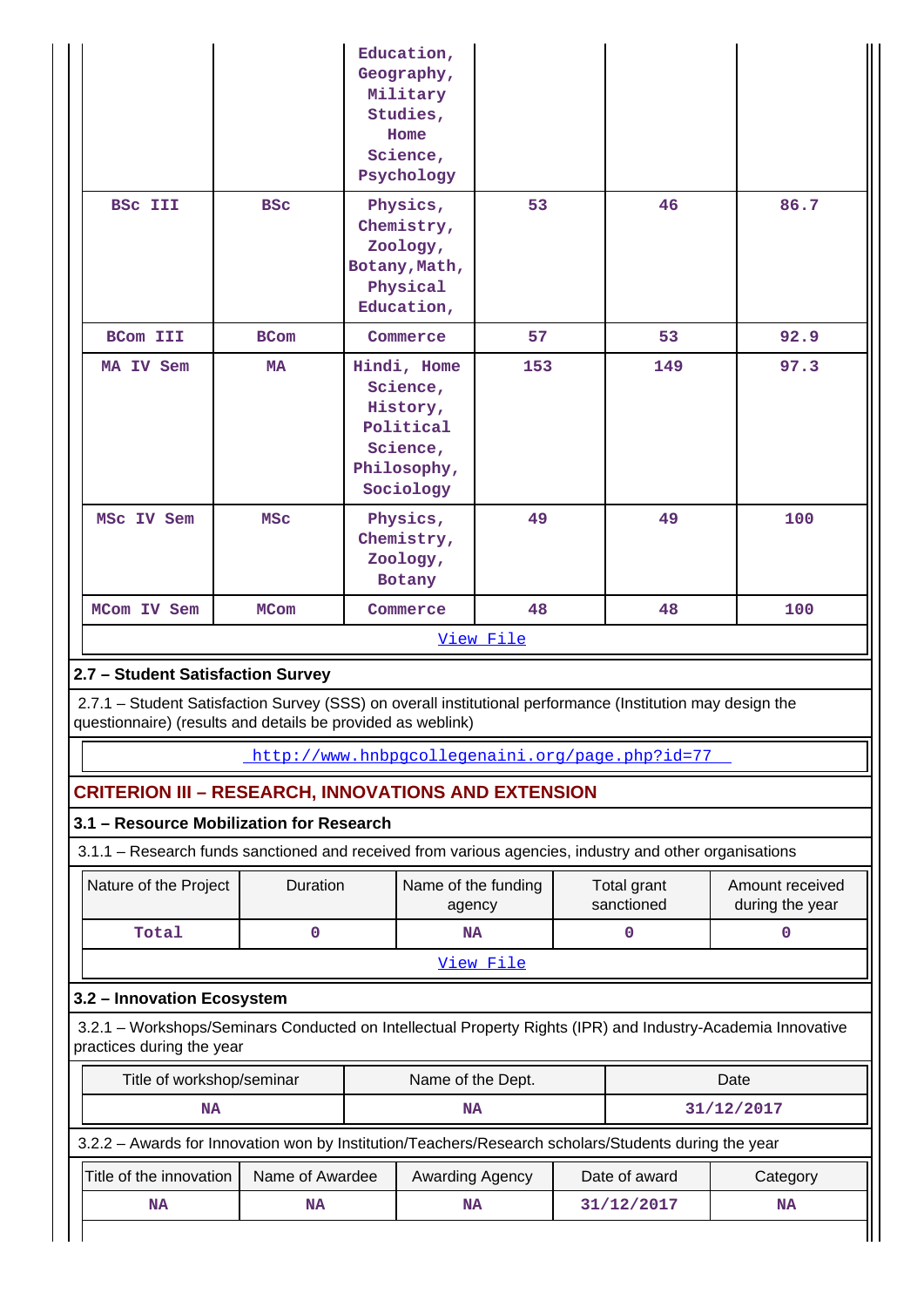|                                                                                                                                                                                                                |                 | Education,<br>Geography,<br>Military<br>Studies,<br>Home<br>Science,<br>Psychology       |           |                           |     |                                                                                                             |
|----------------------------------------------------------------------------------------------------------------------------------------------------------------------------------------------------------------|-----------------|------------------------------------------------------------------------------------------|-----------|---------------------------|-----|-------------------------------------------------------------------------------------------------------------|
| <b>BSC III</b>                                                                                                                                                                                                 | <b>BSC</b>      | Physics,<br>Chemistry,<br>Zoology,<br>Botany, Math,<br>Physical<br>Education,            | 53        |                           | 46  | 86.7                                                                                                        |
| <b>BCom III</b>                                                                                                                                                                                                | <b>BCom</b>     | Commerce                                                                                 | 57        |                           | 53  | 92.9                                                                                                        |
| MA IV Sem                                                                                                                                                                                                      | <b>MA</b>       | Hindi, Home<br>Science,<br>History,<br>Political<br>Science,<br>Philosophy,<br>Sociology | 153       |                           | 149 | 97.3                                                                                                        |
| MSC IV Sem                                                                                                                                                                                                     | <b>MSC</b>      | Physics,<br>Chemistry,<br>Zoology,<br>Botany                                             | 49        |                           | 49  | 100                                                                                                         |
|                                                                                                                                                                                                                |                 |                                                                                          | 48        |                           |     | 100                                                                                                         |
| MCom IV Sem                                                                                                                                                                                                    | <b>MCom</b>     | Commerce                                                                                 | View File |                           | 48  |                                                                                                             |
| 2.7 - Student Satisfaction Survey<br>2.7.1 – Student Satisfaction Survey (SSS) on overall institutional performance (Institution may design the<br>questionnaire) (results and details be provided as weblink) |                 |                                                                                          |           |                           |     |                                                                                                             |
|                                                                                                                                                                                                                |                 | http://www.hnbpgcollegenaini.org/page.php?id=77                                          |           |                           |     |                                                                                                             |
| <b>CRITERION III - RESEARCH, INNOVATIONS AND EXTENSION</b>                                                                                                                                                     |                 |                                                                                          |           |                           |     |                                                                                                             |
| 3.1 - Resource Mobilization for Research<br>3.1.1 – Research funds sanctioned and received from various agencies, industry and other organisations                                                             |                 |                                                                                          |           |                           |     |                                                                                                             |
| Nature of the Project                                                                                                                                                                                          | Duration        | Name of the funding<br>agency                                                            |           | Total grant<br>sanctioned |     | Amount received<br>during the year                                                                          |
| Total                                                                                                                                                                                                          | $\mathbf 0$     | <b>NA</b>                                                                                |           | $\mathbf 0$               |     | 0                                                                                                           |
|                                                                                                                                                                                                                |                 |                                                                                          | View File |                           |     |                                                                                                             |
| 3.2 - Innovation Ecosystem                                                                                                                                                                                     |                 |                                                                                          |           |                           |     |                                                                                                             |
| practices during the year                                                                                                                                                                                      |                 |                                                                                          |           |                           |     | 3.2.1 - Workshops/Seminars Conducted on Intellectual Property Rights (IPR) and Industry-Academia Innovative |
| Title of workshop/seminar                                                                                                                                                                                      |                 | Name of the Dept.                                                                        |           |                           |     | Date                                                                                                        |
| <b>NA</b>                                                                                                                                                                                                      |                 | <b>NA</b>                                                                                |           |                           |     | 31/12/2017                                                                                                  |
| 3.2.2 - Awards for Innovation won by Institution/Teachers/Research scholars/Students during the year                                                                                                           |                 |                                                                                          |           |                           |     |                                                                                                             |
| Title of the innovation                                                                                                                                                                                        | Name of Awardee | Awarding Agency                                                                          |           | Date of award             |     | Category                                                                                                    |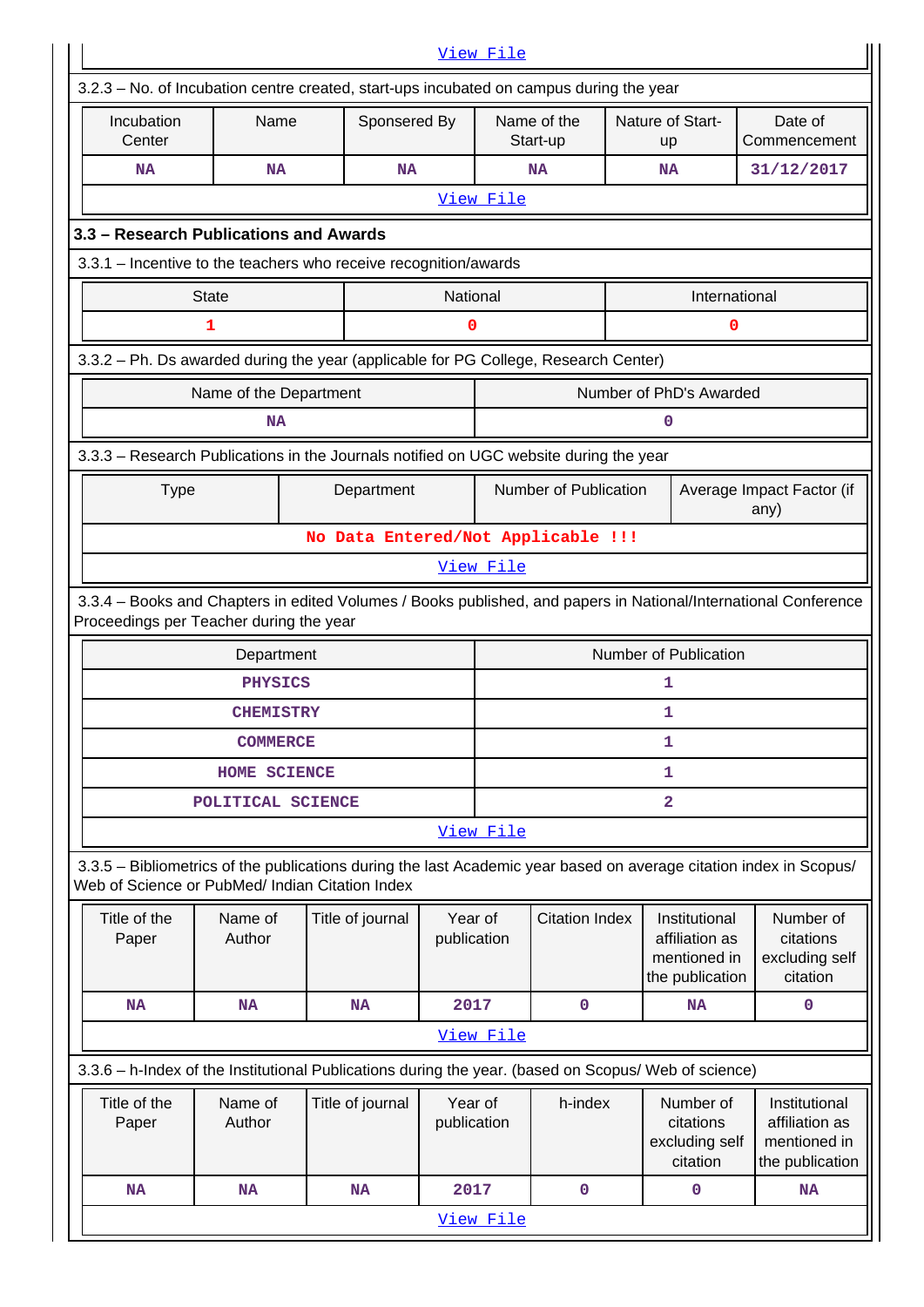|                                                                                                                                                                       |                        |  |                  |                                                                                                                                                            | View File |                                    |  |                                                                    |                                                                    |  |
|-----------------------------------------------------------------------------------------------------------------------------------------------------------------------|------------------------|--|------------------|------------------------------------------------------------------------------------------------------------------------------------------------------------|-----------|------------------------------------|--|--------------------------------------------------------------------|--------------------------------------------------------------------|--|
| 3.2.3 - No. of Incubation centre created, start-ups incubated on campus during the year                                                                               |                        |  |                  |                                                                                                                                                            |           |                                    |  |                                                                    |                                                                    |  |
| Incubation<br>Center                                                                                                                                                  | Name                   |  | Sponsered By     |                                                                                                                                                            |           | Name of the<br>Start-up            |  | Nature of Start-<br>up                                             | Date of<br>Commencement                                            |  |
| <b>NA</b>                                                                                                                                                             | <b>NA</b>              |  | <b>NA</b>        |                                                                                                                                                            |           | NA                                 |  | NA                                                                 | 31/12/2017                                                         |  |
|                                                                                                                                                                       | View File              |  |                  |                                                                                                                                                            |           |                                    |  |                                                                    |                                                                    |  |
| 3.3 - Research Publications and Awards                                                                                                                                |                        |  |                  |                                                                                                                                                            |           |                                    |  |                                                                    |                                                                    |  |
| 3.3.1 - Incentive to the teachers who receive recognition/awards                                                                                                      |                        |  |                  |                                                                                                                                                            |           |                                    |  |                                                                    |                                                                    |  |
|                                                                                                                                                                       | <b>State</b>           |  |                  | <b>National</b>                                                                                                                                            |           |                                    |  | International                                                      |                                                                    |  |
|                                                                                                                                                                       | 1                      |  |                  | 0                                                                                                                                                          |           |                                    |  | 0                                                                  |                                                                    |  |
| 3.3.2 - Ph. Ds awarded during the year (applicable for PG College, Research Center)                                                                                   |                        |  |                  |                                                                                                                                                            |           |                                    |  |                                                                    |                                                                    |  |
|                                                                                                                                                                       | Name of the Department |  |                  |                                                                                                                                                            |           |                                    |  | Number of PhD's Awarded                                            |                                                                    |  |
|                                                                                                                                                                       | <b>NA</b>              |  |                  |                                                                                                                                                            |           |                                    |  | 0                                                                  |                                                                    |  |
| 3.3.3 - Research Publications in the Journals notified on UGC website during the year                                                                                 |                        |  |                  |                                                                                                                                                            |           |                                    |  |                                                                    |                                                                    |  |
| <b>Type</b>                                                                                                                                                           |                        |  | Department       |                                                                                                                                                            |           | Number of Publication              |  |                                                                    | Average Impact Factor (if<br>any)                                  |  |
|                                                                                                                                                                       |                        |  |                  |                                                                                                                                                            |           | No Data Entered/Not Applicable !!! |  |                                                                    |                                                                    |  |
|                                                                                                                                                                       |                        |  |                  |                                                                                                                                                            | View File |                                    |  |                                                                    |                                                                    |  |
|                                                                                                                                                                       |                        |  |                  | 3.3.4 - Books and Chapters in edited Volumes / Books published, and papers in National/International Conference<br>Proceedings per Teacher during the year |           |                                    |  |                                                                    |                                                                    |  |
| Number of Publication<br>Department                                                                                                                                   |                        |  |                  |                                                                                                                                                            |           |                                    |  |                                                                    |                                                                    |  |
|                                                                                                                                                                       |                        |  |                  |                                                                                                                                                            |           |                                    |  |                                                                    |                                                                    |  |
|                                                                                                                                                                       | <b>PHYSICS</b>         |  |                  |                                                                                                                                                            |           |                                    |  | 1                                                                  |                                                                    |  |
|                                                                                                                                                                       | <b>CHEMISTRY</b>       |  |                  |                                                                                                                                                            |           |                                    |  | 1                                                                  |                                                                    |  |
|                                                                                                                                                                       | <b>COMMERCE</b>        |  |                  |                                                                                                                                                            |           |                                    |  | 1                                                                  |                                                                    |  |
|                                                                                                                                                                       | HOME SCIENCE           |  |                  |                                                                                                                                                            |           |                                    |  | 1                                                                  |                                                                    |  |
|                                                                                                                                                                       | POLITICAL SCIENCE      |  |                  |                                                                                                                                                            |           |                                    |  | $\overline{2}$                                                     |                                                                    |  |
|                                                                                                                                                                       |                        |  |                  |                                                                                                                                                            | View File |                                    |  |                                                                    |                                                                    |  |
| 3.3.5 - Bibliometrics of the publications during the last Academic year based on average citation index in Scopus/<br>Web of Science or PubMed/ Indian Citation Index |                        |  |                  |                                                                                                                                                            |           |                                    |  |                                                                    |                                                                    |  |
| Title of the<br>Paper                                                                                                                                                 | Name of<br>Author      |  | Title of journal | Year of<br>publication                                                                                                                                     |           | <b>Citation Index</b>              |  | Institutional<br>affiliation as<br>mentioned in<br>the publication | Number of<br>citations<br>excluding self<br>citation               |  |
| <b>NA</b>                                                                                                                                                             | <b>NA</b>              |  | <b>NA</b>        | 2017                                                                                                                                                       |           | $\mathbf 0$                        |  | <b>NA</b>                                                          | $\mathbf 0$                                                        |  |
|                                                                                                                                                                       |                        |  |                  |                                                                                                                                                            | View File |                                    |  |                                                                    |                                                                    |  |
| 3.3.6 - h-Index of the Institutional Publications during the year. (based on Scopus/ Web of science)                                                                  |                        |  |                  |                                                                                                                                                            |           |                                    |  |                                                                    |                                                                    |  |
| Title of the<br>Paper                                                                                                                                                 | Name of<br>Author      |  | Title of journal | Year of<br>publication                                                                                                                                     |           | h-index                            |  | Number of<br>citations<br>excluding self<br>citation               | Institutional<br>affiliation as<br>mentioned in<br>the publication |  |
| <b>NA</b>                                                                                                                                                             | <b>NA</b>              |  | <b>NA</b>        | 2017                                                                                                                                                       |           | 0                                  |  | 0                                                                  | <b>NA</b>                                                          |  |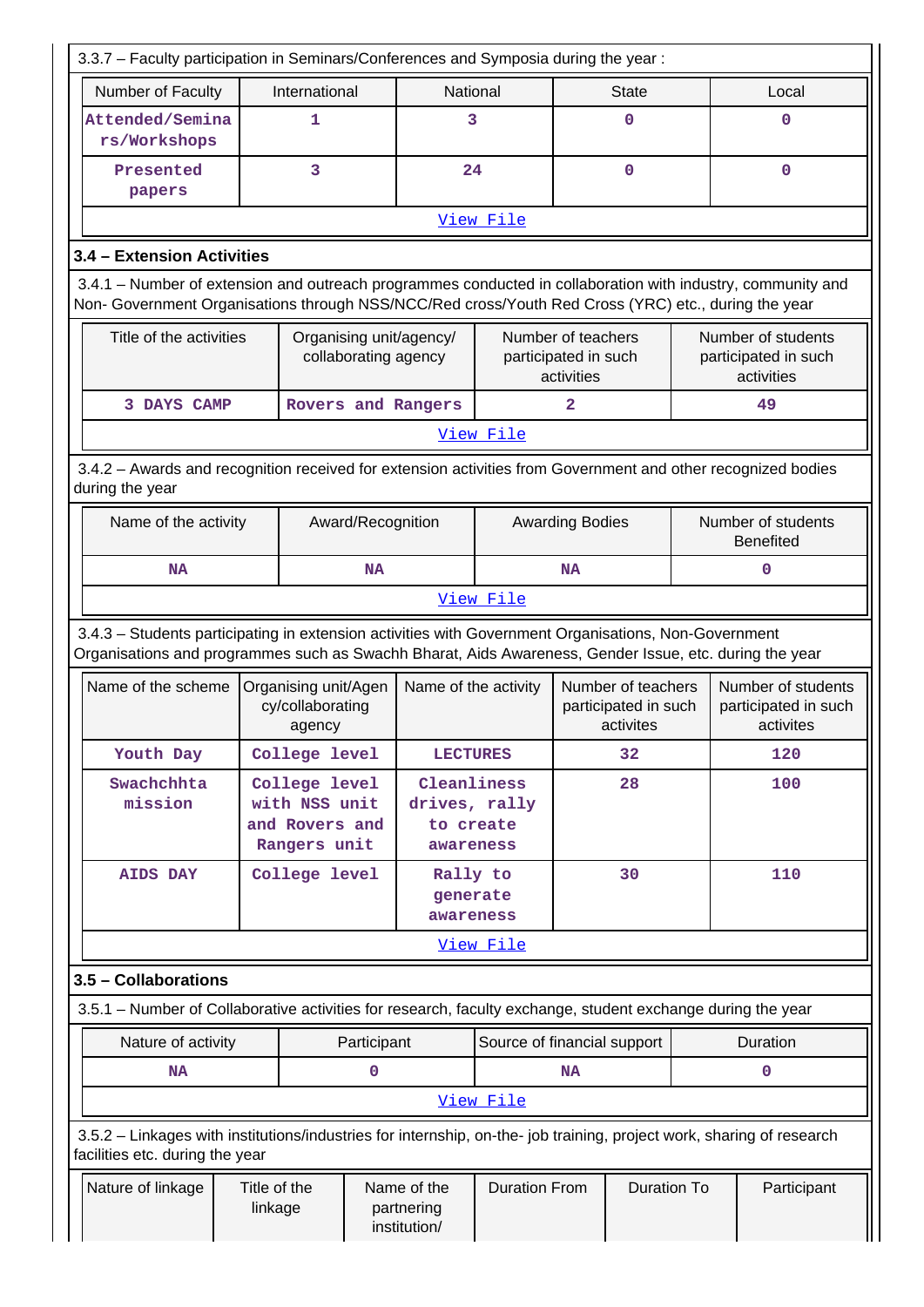| 3.3.7 - Faculty participation in Seminars/Conferences and Symposia during the year:                                                                                                                                |                         |                                                                  |                   |                                                        |                             |                                                          |                                                         |             |                                                          |
|--------------------------------------------------------------------------------------------------------------------------------------------------------------------------------------------------------------------|-------------------------|------------------------------------------------------------------|-------------------|--------------------------------------------------------|-----------------------------|----------------------------------------------------------|---------------------------------------------------------|-------------|----------------------------------------------------------|
| Number of Faculty                                                                                                                                                                                                  | International           |                                                                  |                   | National                                               |                             | <b>State</b>                                             |                                                         | Local       |                                                          |
| Attended/Semina<br>rs/Workshops                                                                                                                                                                                    |                         | 1                                                                |                   | 3                                                      |                             |                                                          | $\mathbf 0$                                             |             | 0                                                        |
| Presented<br>papers                                                                                                                                                                                                | 3                       |                                                                  |                   | 24                                                     |                             | $\mathbf 0$                                              |                                                         | $\mathbf 0$ |                                                          |
| View File                                                                                                                                                                                                          |                         |                                                                  |                   |                                                        |                             |                                                          |                                                         |             |                                                          |
| 3.4 - Extension Activities                                                                                                                                                                                         |                         |                                                                  |                   |                                                        |                             |                                                          |                                                         |             |                                                          |
| 3.4.1 - Number of extension and outreach programmes conducted in collaboration with industry, community and<br>Non- Government Organisations through NSS/NCC/Red cross/Youth Red Cross (YRC) etc., during the year |                         |                                                                  |                   |                                                        |                             |                                                          |                                                         |             |                                                          |
|                                                                                                                                                                                                                    | Title of the activities |                                                                  |                   | Organising unit/agency/<br>collaborating agency        |                             | Number of teachers<br>participated in such<br>activities |                                                         |             | Number of students<br>participated in such<br>activities |
| 3 DAYS CAMP                                                                                                                                                                                                        |                         |                                                                  |                   | Rovers and Rangers                                     |                             | 2                                                        |                                                         |             | 49                                                       |
|                                                                                                                                                                                                                    |                         |                                                                  |                   |                                                        | View File                   |                                                          |                                                         |             |                                                          |
| 3.4.2 - Awards and recognition received for extension activities from Government and other recognized bodies<br>during the year                                                                                    |                         |                                                                  |                   |                                                        |                             |                                                          |                                                         |             |                                                          |
| Name of the activity                                                                                                                                                                                               |                         |                                                                  | Award/Recognition |                                                        |                             | <b>Awarding Bodies</b>                                   |                                                         |             | Number of students<br><b>Benefited</b>                   |
| <b>NA</b>                                                                                                                                                                                                          |                         |                                                                  | <b>NA</b>         |                                                        |                             | <b>NA</b>                                                |                                                         |             | $\mathbf 0$                                              |
|                                                                                                                                                                                                                    |                         |                                                                  |                   |                                                        | View File                   |                                                          |                                                         |             |                                                          |
| 3.4.3 - Students participating in extension activities with Government Organisations, Non-Government<br>Organisations and programmes such as Swachh Bharat, Aids Awareness, Gender Issue, etc. during the year     |                         |                                                                  |                   |                                                        |                             |                                                          |                                                         |             |                                                          |
| Name of the scheme                                                                                                                                                                                                 |                         | Organising unit/Agen<br>cy/collaborating<br>agency               |                   | Name of the activity                                   |                             |                                                          | Number of teachers<br>participated in such<br>activites |             | Number of students<br>participated in such<br>activites  |
| Youth Day                                                                                                                                                                                                          |                         | College level                                                    |                   | <b>LECTURES</b>                                        |                             |                                                          | 32                                                      |             | 120                                                      |
| Swachchhta<br>mission                                                                                                                                                                                              |                         | College level<br>with NSS unit<br>and Rovers and<br>Rangers unit |                   | Cleanliness<br>drives, rally<br>to create<br>awareness |                             |                                                          | 28                                                      |             | 100                                                      |
| <b>AIDS DAY</b>                                                                                                                                                                                                    |                         | College level                                                    |                   | Rally to<br>generate<br>awareness                      |                             |                                                          | 30                                                      |             | 110                                                      |
|                                                                                                                                                                                                                    |                         |                                                                  |                   |                                                        | View File                   |                                                          |                                                         |             |                                                          |
| 3.5 - Collaborations                                                                                                                                                                                               |                         |                                                                  |                   |                                                        |                             |                                                          |                                                         |             |                                                          |
| 3.5.1 – Number of Collaborative activities for research, faculty exchange, student exchange during the year                                                                                                        |                         |                                                                  |                   |                                                        |                             |                                                          |                                                         |             |                                                          |
| Nature of activity                                                                                                                                                                                                 |                         |                                                                  | Participant       |                                                        | Source of financial support |                                                          |                                                         |             | Duration                                                 |
| <b>NA</b>                                                                                                                                                                                                          |                         |                                                                  | 0                 |                                                        |                             | <b>NA</b>                                                |                                                         |             | 0                                                        |
|                                                                                                                                                                                                                    |                         |                                                                  |                   |                                                        | View File                   |                                                          |                                                         |             |                                                          |
| 3.5.2 - Linkages with institutions/industries for internship, on-the- job training, project work, sharing of research<br>facilities etc. during the year                                                           |                         |                                                                  |                   |                                                        |                             |                                                          |                                                         |             |                                                          |
| Nature of linkage                                                                                                                                                                                                  | Title of the<br>linkage |                                                                  |                   | Name of the<br>partnering<br>institution/              | <b>Duration From</b>        |                                                          | <b>Duration To</b>                                      |             | Participant                                              |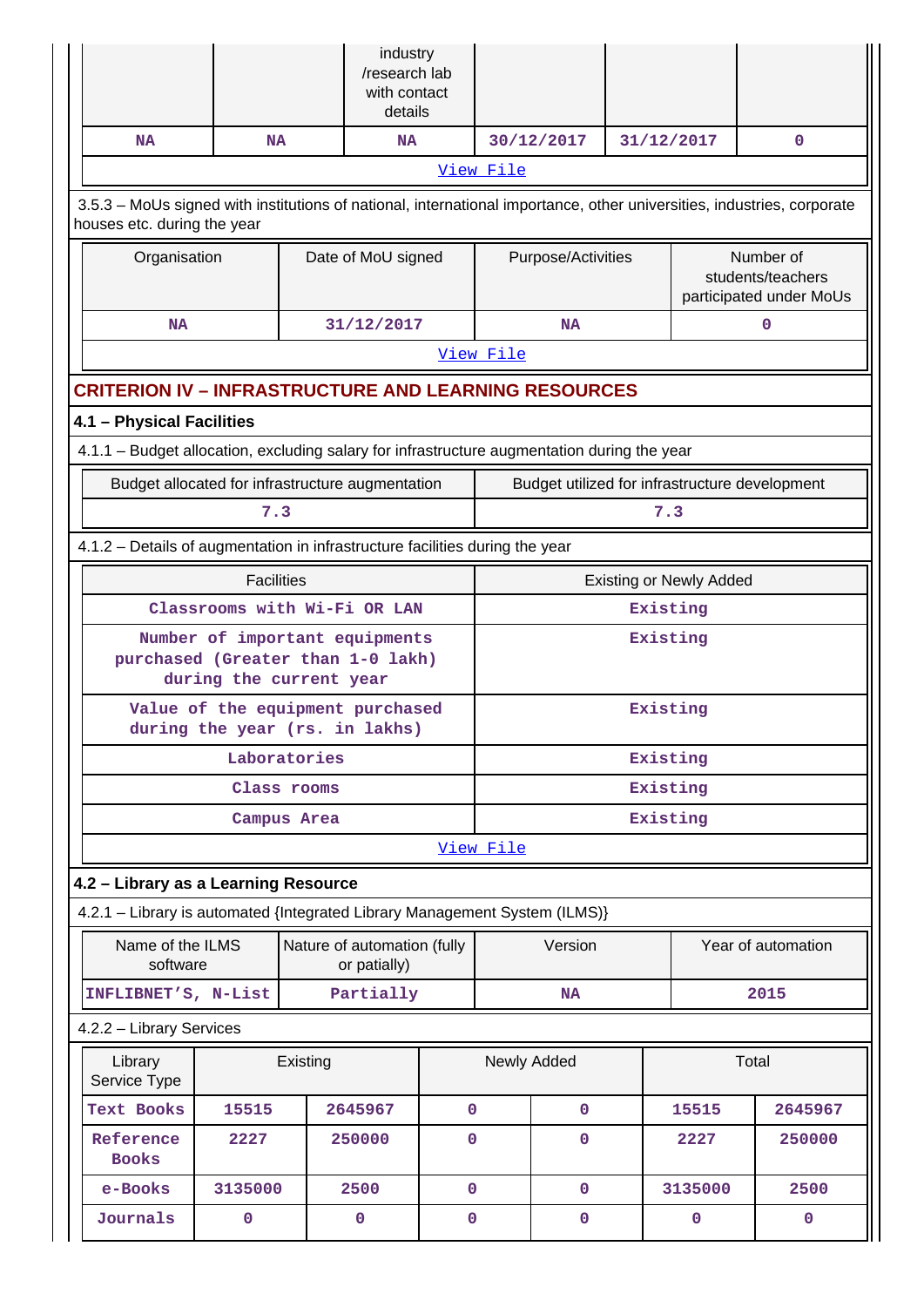|                                                                                                                                                       |                                                                                                |              | industry<br>/research lab<br>with contact<br>details |             |           |                    |            |                                |                                                           |
|-------------------------------------------------------------------------------------------------------------------------------------------------------|------------------------------------------------------------------------------------------------|--------------|------------------------------------------------------|-------------|-----------|--------------------|------------|--------------------------------|-----------------------------------------------------------|
| <b>NA</b>                                                                                                                                             | <b>NA</b>                                                                                      |              | <b>NA</b>                                            |             |           | 30/12/2017         | 31/12/2017 |                                | 0                                                         |
|                                                                                                                                                       |                                                                                                |              |                                                      |             | View File |                    |            |                                |                                                           |
| 3.5.3 - MoUs signed with institutions of national, international importance, other universities, industries, corporate<br>houses etc. during the year |                                                                                                |              |                                                      |             |           |                    |            |                                |                                                           |
| Organisation                                                                                                                                          |                                                                                                |              | Date of MoU signed                                   |             |           | Purpose/Activities |            |                                | Number of<br>students/teachers<br>participated under MoUs |
| <b>NA</b>                                                                                                                                             |                                                                                                |              | 31/12/2017                                           |             |           | NA                 |            |                                | 0                                                         |
|                                                                                                                                                       |                                                                                                |              |                                                      |             | View File |                    |            |                                |                                                           |
| <b>CRITERION IV - INFRASTRUCTURE AND LEARNING RESOURCES</b>                                                                                           |                                                                                                |              |                                                      |             |           |                    |            |                                |                                                           |
| 4.1 - Physical Facilities                                                                                                                             |                                                                                                |              |                                                      |             |           |                    |            |                                |                                                           |
| 4.1.1 - Budget allocation, excluding salary for infrastructure augmentation during the year                                                           |                                                                                                |              |                                                      |             |           |                    |            |                                |                                                           |
|                                                                                                                                                       | Budget allocated for infrastructure augmentation                                               |              |                                                      |             |           |                    |            |                                | Budget utilized for infrastructure development            |
|                                                                                                                                                       | 7.3                                                                                            |              |                                                      |             |           |                    | 7.3        |                                |                                                           |
| 4.1.2 – Details of augmentation in infrastructure facilities during the year                                                                          |                                                                                                |              |                                                      |             |           |                    |            |                                |                                                           |
|                                                                                                                                                       | <b>Facilities</b>                                                                              |              |                                                      |             |           |                    |            | <b>Existing or Newly Added</b> |                                                           |
|                                                                                                                                                       | Classrooms with Wi-Fi OR LAN                                                                   |              |                                                      |             | Existing  |                    |            |                                |                                                           |
|                                                                                                                                                       | Number of important equipments<br>purchased (Greater than 1-0 lakh)<br>during the current year |              |                                                      |             | Existing  |                    |            |                                |                                                           |
|                                                                                                                                                       | Value of the equipment purchased<br>during the year (rs. in lakhs)                             |              |                                                      |             | Existing  |                    |            |                                |                                                           |
|                                                                                                                                                       |                                                                                                | Laboratories |                                                      |             | Existing  |                    |            |                                |                                                           |
|                                                                                                                                                       |                                                                                                | Class rooms  |                                                      |             | Existing  |                    |            |                                |                                                           |
|                                                                                                                                                       |                                                                                                | Campus Area  |                                                      |             | Existing  |                    |            |                                |                                                           |
|                                                                                                                                                       |                                                                                                |              |                                                      |             | View File |                    |            |                                |                                                           |
| 4.2 - Library as a Learning Resource                                                                                                                  |                                                                                                |              |                                                      |             |           |                    |            |                                |                                                           |
| 4.2.1 - Library is automated {Integrated Library Management System (ILMS)}                                                                            |                                                                                                |              |                                                      |             |           |                    |            |                                |                                                           |
| Name of the ILMS<br>software                                                                                                                          |                                                                                                |              | Nature of automation (fully<br>or patially)          |             |           | Version            |            | Year of automation             |                                                           |
| INFLIBNET'S, N-List                                                                                                                                   |                                                                                                |              | Partially                                            |             |           | <b>NA</b>          |            |                                | 2015                                                      |
| 4.2.2 - Library Services                                                                                                                              |                                                                                                |              |                                                      |             |           |                    |            |                                |                                                           |
| Library<br>Service Type                                                                                                                               |                                                                                                | Existing     |                                                      |             |           | Newly Added        |            |                                | Total                                                     |
| <b>Text Books</b>                                                                                                                                     | 15515                                                                                          |              | 2645967                                              | $\mathbf 0$ |           | $\mathbf 0$        |            | 15515                          | 2645967                                                   |
| Reference<br><b>Books</b>                                                                                                                             | 2227                                                                                           |              | 250000                                               | 0           |           | $\mathbf{O}$       |            | 2227                           | 250000                                                    |
| e-Books                                                                                                                                               | 3135000                                                                                        |              | 2500                                                 | $\mathbf 0$ |           | $\mathbf 0$        |            | 3135000                        | 2500                                                      |
| Journals                                                                                                                                              | 0                                                                                              |              | $\mathbf 0$                                          | 0           |           | $\mathbf 0$        |            | $\mathbf 0$                    | $\mathbf 0$                                               |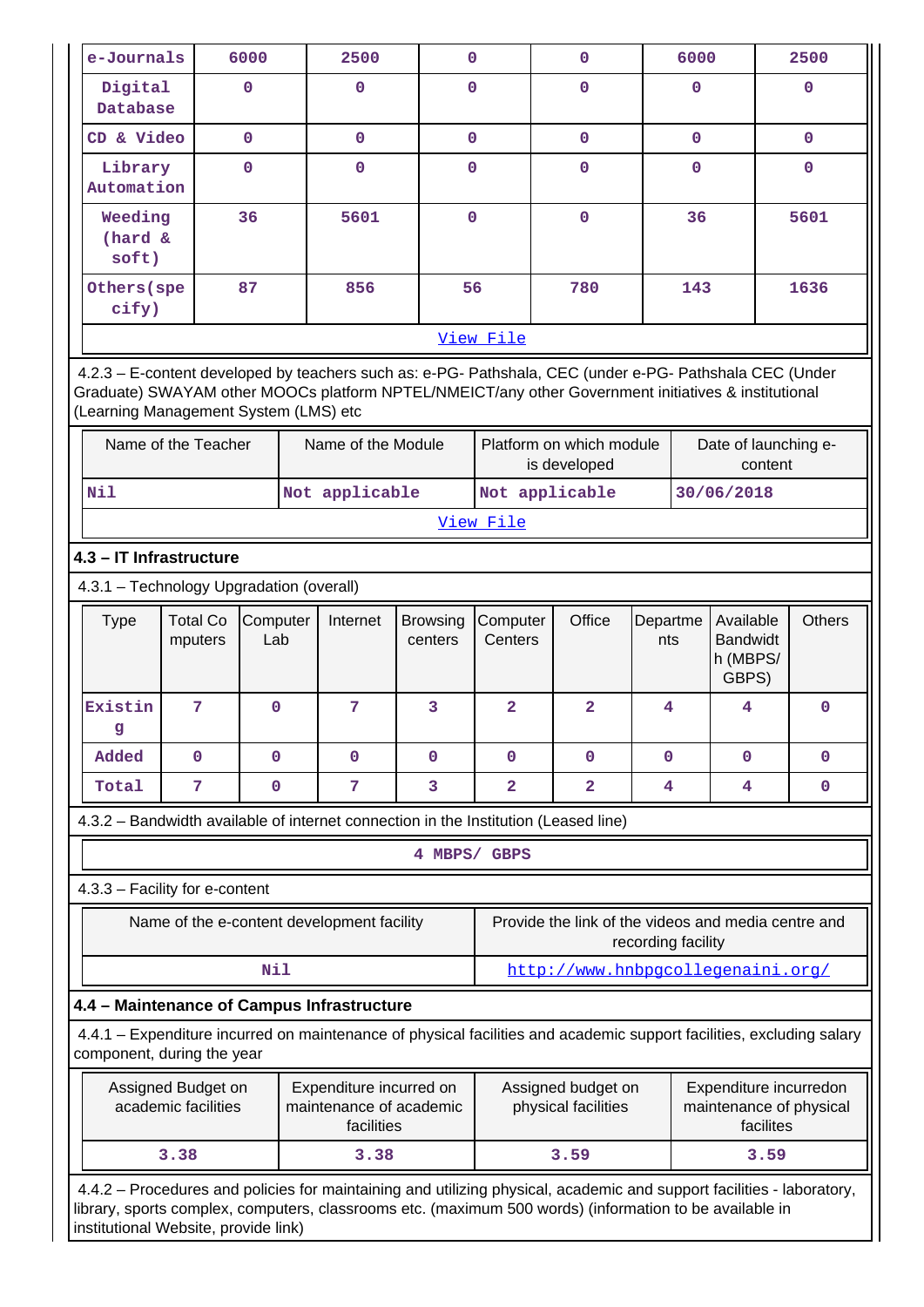| e-Journals                                                                                                                                                                                                                                                               | 6000                                                                                                                    |                 | 2500                                                             | $\mathbf{O}$               |                         | 0                                         |                 | 6000         |                                                                | 2500          |
|--------------------------------------------------------------------------------------------------------------------------------------------------------------------------------------------------------------------------------------------------------------------------|-------------------------------------------------------------------------------------------------------------------------|-----------------|------------------------------------------------------------------|----------------------------|-------------------------|-------------------------------------------|-----------------|--------------|----------------------------------------------------------------|---------------|
| Digital<br>Database                                                                                                                                                                                                                                                      | $\mathbf 0$                                                                                                             |                 | 0                                                                | $\Omega$                   |                         | 0                                         |                 | $\mathbf 0$  |                                                                | $\Omega$      |
| CD & Video                                                                                                                                                                                                                                                               | $\mathbf{0}$                                                                                                            |                 | $\mathbf{0}$                                                     | $\mathbf{0}$               |                         | $\mathbf 0$                               |                 | $\mathbf{0}$ |                                                                | $\mathbf{0}$  |
| Library<br>Automation                                                                                                                                                                                                                                                    | $\mathbf{O}$                                                                                                            |                 | $\mathbf 0$                                                      |                            | $\mathbf{O}$            | 0                                         |                 | $\mathbf 0$  |                                                                | 0             |
| Weeding<br>(hard &<br>soft)                                                                                                                                                                                                                                              | 36                                                                                                                      |                 | 5601                                                             | $\mathbf{O}$               |                         | $\mathbf 0$                               |                 | 36           |                                                                | 5601          |
| Others (spe<br>cify)                                                                                                                                                                                                                                                     | 87                                                                                                                      |                 | 856                                                              | 56                         |                         | 780                                       |                 | 143          |                                                                | 1636          |
|                                                                                                                                                                                                                                                                          |                                                                                                                         |                 |                                                                  |                            | View File               |                                           |                 |              |                                                                |               |
| 4.2.3 - E-content developed by teachers such as: e-PG- Pathshala, CEC (under e-PG- Pathshala CEC (Under<br>Graduate) SWAYAM other MOOCs platform NPTEL/NMEICT/any other Government initiatives & institutional<br>(Learning Management System (LMS) etc                  |                                                                                                                         |                 |                                                                  |                            |                         |                                           |                 |              |                                                                |               |
| Name of the Teacher                                                                                                                                                                                                                                                      |                                                                                                                         |                 | Name of the Module                                               |                            |                         | Platform on which module<br>is developed  |                 |              | Date of launching e-<br>content                                |               |
| Nil                                                                                                                                                                                                                                                                      |                                                                                                                         |                 | Not applicable                                                   |                            |                         | Not applicable                            |                 |              | 30/06/2018                                                     |               |
|                                                                                                                                                                                                                                                                          |                                                                                                                         |                 |                                                                  |                            | View File               |                                           |                 |              |                                                                |               |
| 4.3 - IT Infrastructure                                                                                                                                                                                                                                                  |                                                                                                                         |                 |                                                                  |                            |                         |                                           |                 |              |                                                                |               |
| 4.3.1 - Technology Upgradation (overall)                                                                                                                                                                                                                                 |                                                                                                                         |                 |                                                                  |                            |                         |                                           |                 |              |                                                                |               |
| Type                                                                                                                                                                                                                                                                     | <b>Total Co</b><br>mputers                                                                                              | Computer<br>Lab | Internet                                                         | <b>Browsing</b><br>centers | Computer<br>Centers     | Office                                    | Departme<br>nts |              | Available<br><b>Bandwidt</b><br>h (MBPS/<br>GBPS)              | <b>Others</b> |
| Existin<br>g                                                                                                                                                                                                                                                             | 7                                                                                                                       | $\mathbf 0$     | 7                                                                | 3                          | $\overline{a}$          | $\overline{a}$                            | 4               |              | 4                                                              | 0             |
| Added                                                                                                                                                                                                                                                                    | $\mathbf 0$                                                                                                             | $\mathbf{O}$    | $\mathbf 0$                                                      | $\mathbf 0$                | $\mathbf 0$             | $\mathbf 0$                               | $\mathbf 0$     |              | 0                                                              | 0             |
| Total                                                                                                                                                                                                                                                                    | 7                                                                                                                       | $\mathbf 0$     | 7                                                                | 3                          | $\overline{\mathbf{2}}$ | $\overline{a}$                            | 4               |              | 4                                                              | 0             |
| 4.3.2 - Bandwidth available of internet connection in the Institution (Leased line)                                                                                                                                                                                      |                                                                                                                         |                 |                                                                  |                            |                         |                                           |                 |              |                                                                |               |
|                                                                                                                                                                                                                                                                          |                                                                                                                         |                 |                                                                  | 4 MBPS/ GBPS               |                         |                                           |                 |              |                                                                |               |
| 4.3.3 - Facility for e-content                                                                                                                                                                                                                                           |                                                                                                                         |                 |                                                                  |                            |                         |                                           |                 |              |                                                                |               |
|                                                                                                                                                                                                                                                                          | Provide the link of the videos and media centre and<br>Name of the e-content development facility<br>recording facility |                 |                                                                  |                            |                         |                                           |                 |              |                                                                |               |
|                                                                                                                                                                                                                                                                          |                                                                                                                         | Nil             |                                                                  |                            |                         | http://www.hnbpgcollegenaini.org/         |                 |              |                                                                |               |
| 4.4 - Maintenance of Campus Infrastructure                                                                                                                                                                                                                               |                                                                                                                         |                 |                                                                  |                            |                         |                                           |                 |              |                                                                |               |
| 4.4.1 – Expenditure incurred on maintenance of physical facilities and academic support facilities, excluding salary<br>component, during the year                                                                                                                       |                                                                                                                         |                 |                                                                  |                            |                         |                                           |                 |              |                                                                |               |
| Assigned Budget on<br>academic facilities                                                                                                                                                                                                                                |                                                                                                                         |                 | Expenditure incurred on<br>maintenance of academic<br>facilities |                            |                         | Assigned budget on<br>physical facilities |                 |              | Expenditure incurredon<br>maintenance of physical<br>facilites |               |
| 3.38                                                                                                                                                                                                                                                                     |                                                                                                                         |                 | 3.38                                                             |                            |                         | 3.59                                      |                 |              | 3.59                                                           |               |
| 4.4.2 - Procedures and policies for maintaining and utilizing physical, academic and support facilities - laboratory,<br>library, sports complex, computers, classrooms etc. (maximum 500 words) (information to be available in<br>institutional Website, provide link) |                                                                                                                         |                 |                                                                  |                            |                         |                                           |                 |              |                                                                |               |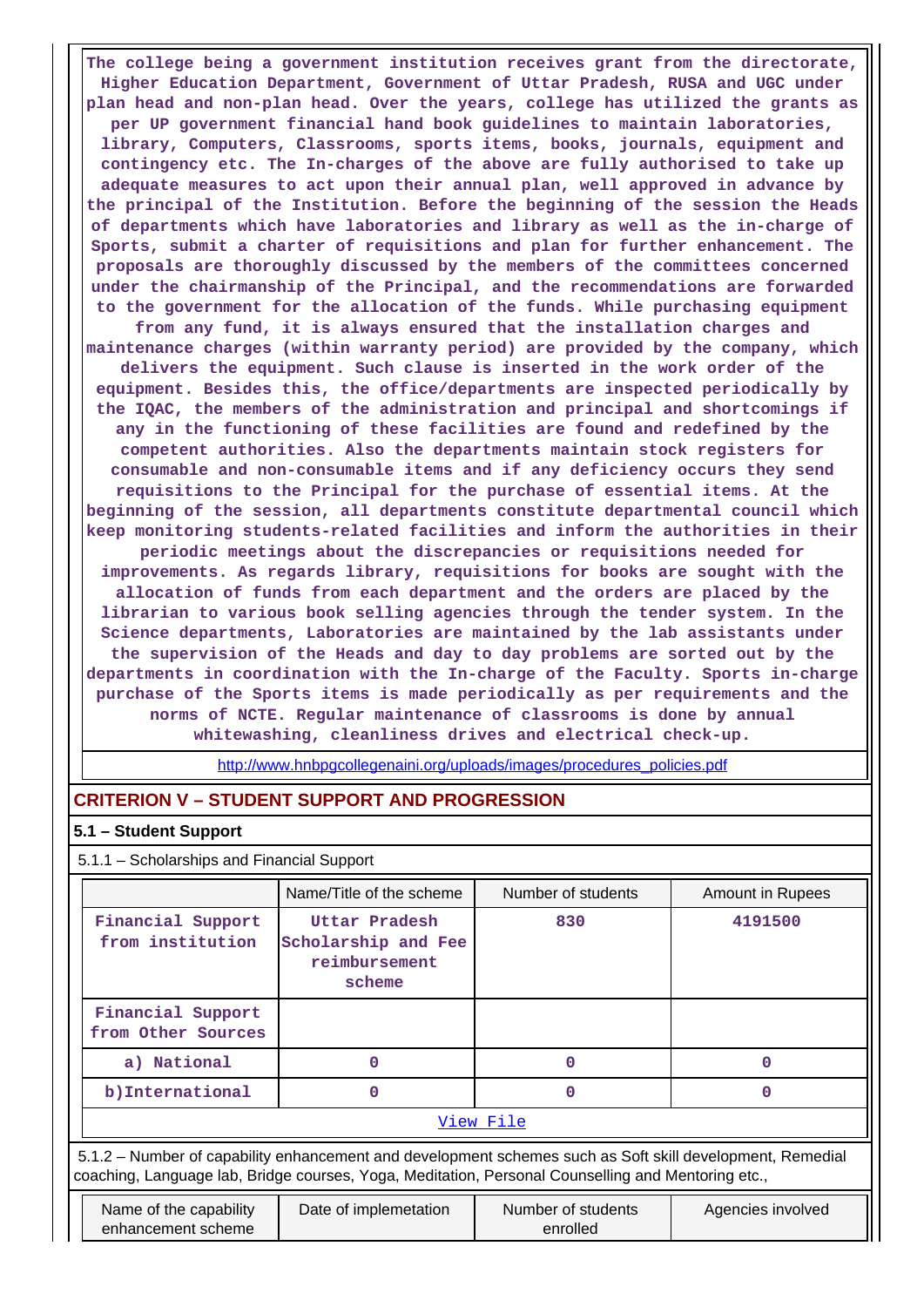**The college being a government institution receives grant from the directorate, Higher Education Department, Government of Uttar Pradesh, RUSA and UGC under plan head and non-plan head. Over the years, college has utilized the grants as per UP government financial hand book guidelines to maintain laboratories, library, Computers, Classrooms, sports items, books, journals, equipment and contingency etc. The In-charges of the above are fully authorised to take up adequate measures to act upon their annual plan, well approved in advance by the principal of the Institution. Before the beginning of the session the Heads of departments which have laboratories and library as well as the in-charge of Sports, submit a charter of requisitions and plan for further enhancement. The proposals are thoroughly discussed by the members of the committees concerned under the chairmanship of the Principal, and the recommendations are forwarded to the government for the allocation of the funds. While purchasing equipment from any fund, it is always ensured that the installation charges and maintenance charges (within warranty period) are provided by the company, which delivers the equipment. Such clause is inserted in the work order of the equipment. Besides this, the office/departments are inspected periodically by the IQAC, the members of the administration and principal and shortcomings if any in the functioning of these facilities are found and redefined by the competent authorities. Also the departments maintain stock registers for consumable and non-consumable items and if any deficiency occurs they send requisitions to the Principal for the purchase of essential items. At the beginning of the session, all departments constitute departmental council which keep monitoring students-related facilities and inform the authorities in their periodic meetings about the discrepancies or requisitions needed for improvements. As regards library, requisitions for books are sought with the allocation of funds from each department and the orders are placed by the librarian to various book selling agencies through the tender system. In the Science departments, Laboratories are maintained by the lab assistants under the supervision of the Heads and day to day problems are sorted out by the departments in coordination with the In-charge of the Faculty. Sports in-charge purchase of the Sports items is made periodically as per requirements and the norms of NCTE. Regular maintenance of classrooms is done by annual whitewashing, cleanliness drives and electrical check-up.**

[http://www.hnbpgcollegenaini.org/uploads/images/procedures\\_policies.pdf](http://www.hnbpgcollegenaini.org/uploads/images/procedures_policies.pdf)

### **CRITERION V – STUDENT SUPPORT AND PROGRESSION**

#### **5.1 – Student Support**

5.1.1 – Scholarships and Financial Support

| Name/Title of the scheme                                        | Number of students | <b>Amount in Rupees</b> |
|-----------------------------------------------------------------|--------------------|-------------------------|
| Uttar Pradesh<br>Scholarship and Fee<br>reimbursement<br>scheme | 830                | 4191500                 |
|                                                                 |                    |                         |
|                                                                 |                    | n                       |
|                                                                 |                    | O                       |
|                                                                 |                    |                         |
|                                                                 |                    | View File               |

 5.1.2 – Number of capability enhancement and development schemes such as Soft skill development, Remedial coaching, Language lab, Bridge courses, Yoga, Meditation, Personal Counselling and Mentoring etc.,

| Name of the capability | Date of implemetation | Number of students | Agencies involved |
|------------------------|-----------------------|--------------------|-------------------|
| enhancement scheme     |                       | enrolled           |                   |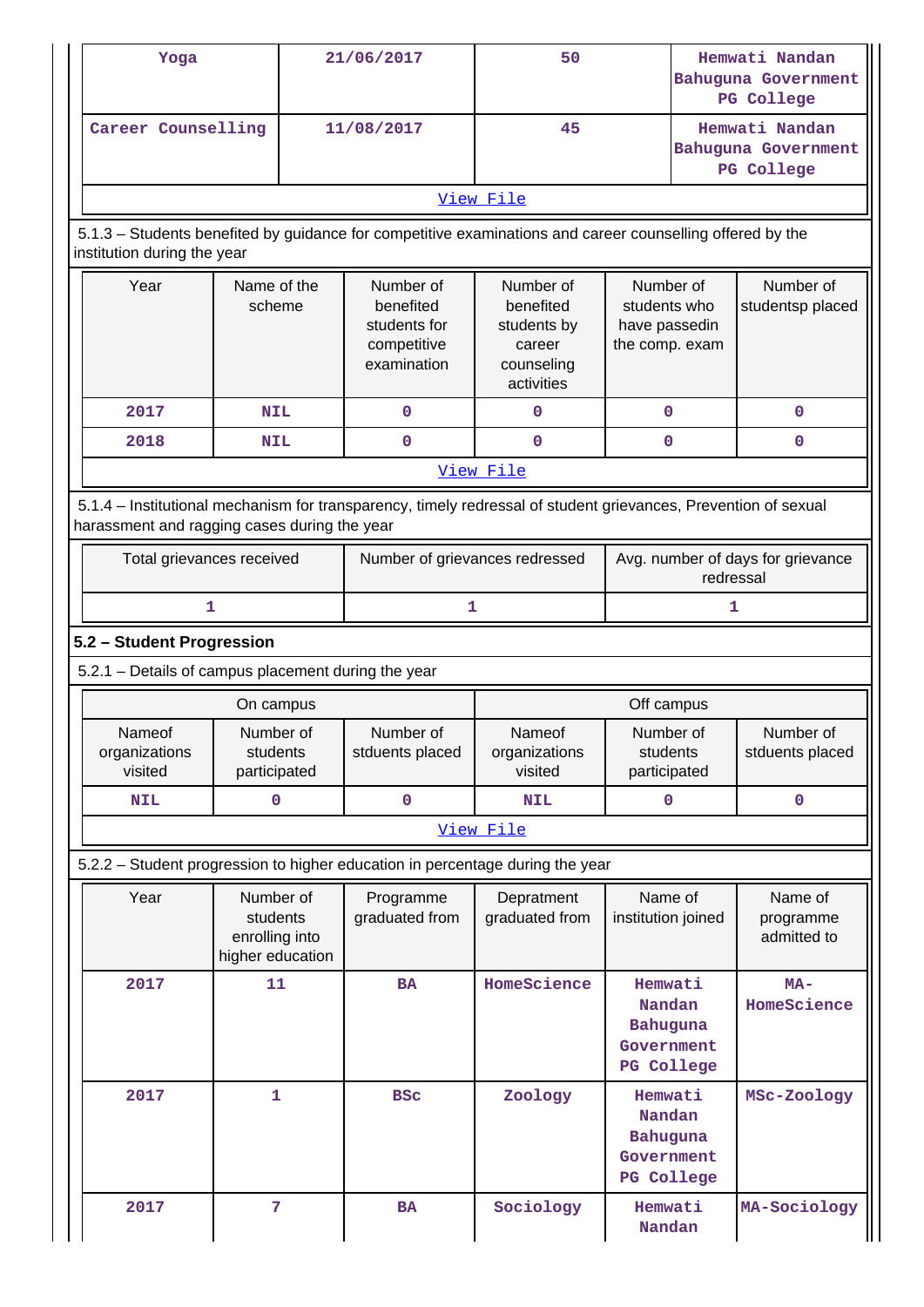|                           | Yoga                                                                                                                                                           |                                                                                                                                          |  | 21/06/2017                                                           | 50                                                                          |                                                                  | Hemwati Nandan<br><b>Bahuguna Government</b><br><b>PG College</b> |  |
|---------------------------|----------------------------------------------------------------------------------------------------------------------------------------------------------------|------------------------------------------------------------------------------------------------------------------------------------------|--|----------------------------------------------------------------------|-----------------------------------------------------------------------------|------------------------------------------------------------------|-------------------------------------------------------------------|--|
|                           | Career Counselling                                                                                                                                             |                                                                                                                                          |  | 11/08/2017                                                           | 45                                                                          |                                                                  | Hemwati Nandan<br>Bahuguna Government<br><b>PG College</b>        |  |
|                           |                                                                                                                                                                |                                                                                                                                          |  |                                                                      | View File                                                                   |                                                                  |                                                                   |  |
|                           |                                                                                                                                                                | 5.1.3 - Students benefited by guidance for competitive examinations and career counselling offered by the<br>institution during the year |  |                                                                      |                                                                             |                                                                  |                                                                   |  |
|                           | Year                                                                                                                                                           | Name of the<br>scheme                                                                                                                    |  | Number of<br>benefited<br>students for<br>competitive<br>examination | Number of<br>benefited<br>students by<br>career<br>counseling<br>activities | Number of<br>students who<br>have passedin<br>the comp. exam     | Number of<br>studentsp placed                                     |  |
|                           | 2017                                                                                                                                                           | <b>NIL</b>                                                                                                                               |  | $\mathbf 0$                                                          | 0                                                                           | $\mathbf 0$                                                      | $\mathbf 0$                                                       |  |
|                           | 2018                                                                                                                                                           | <b>NIL</b>                                                                                                                               |  | $\mathbf 0$                                                          | $\mathbf 0$                                                                 | $\mathbf 0$                                                      | 0                                                                 |  |
|                           |                                                                                                                                                                |                                                                                                                                          |  |                                                                      | View File                                                                   |                                                                  |                                                                   |  |
|                           | 5.1.4 - Institutional mechanism for transparency, timely redressal of student grievances, Prevention of sexual<br>harassment and ragging cases during the year |                                                                                                                                          |  |                                                                      |                                                                             |                                                                  |                                                                   |  |
|                           | Total grievances received                                                                                                                                      |                                                                                                                                          |  | Number of grievances redressed                                       |                                                                             | Avg. number of days for grievance<br>redressal                   |                                                                   |  |
|                           | 1                                                                                                                                                              |                                                                                                                                          |  | 1                                                                    |                                                                             | 1                                                                |                                                                   |  |
| 5.2 - Student Progression |                                                                                                                                                                |                                                                                                                                          |  |                                                                      |                                                                             |                                                                  |                                                                   |  |
|                           | 5.2.1 - Details of campus placement during the year                                                                                                            |                                                                                                                                          |  |                                                                      |                                                                             |                                                                  |                                                                   |  |
|                           |                                                                                                                                                                |                                                                                                                                          |  |                                                                      |                                                                             |                                                                  |                                                                   |  |
|                           |                                                                                                                                                                | On campus                                                                                                                                |  |                                                                      |                                                                             | Off campus                                                       |                                                                   |  |
|                           | Nameof<br>organizations<br>visited                                                                                                                             | Number of<br>students<br>participated                                                                                                    |  | Number of<br>stduents placed                                         | Nameof<br>organizations<br>visited                                          | Number of<br>students<br>participated                            | Number of<br>stduents placed                                      |  |
|                           | <b>NIL</b>                                                                                                                                                     | $\mathbf 0$                                                                                                                              |  | $\mathbf 0$                                                          | <b>NIL</b>                                                                  | $\mathbf 0$                                                      | $\mathbf 0$                                                       |  |
|                           |                                                                                                                                                                |                                                                                                                                          |  |                                                                      | View File                                                                   |                                                                  |                                                                   |  |
|                           | 5.2.2 - Student progression to higher education in percentage during the year                                                                                  |                                                                                                                                          |  |                                                                      |                                                                             |                                                                  |                                                                   |  |
|                           | Year                                                                                                                                                           | Number of<br>students<br>enrolling into<br>higher education                                                                              |  | Programme<br>graduated from                                          | Depratment<br>graduated from                                                | Name of<br>institution joined                                    | Name of<br>programme<br>admitted to                               |  |
|                           | 2017                                                                                                                                                           | 11                                                                                                                                       |  | <b>BA</b>                                                            | HomeScience                                                                 | Hemwati<br>Nandan<br>Bahuguna<br>Government<br>PG College        | $MA-$<br>HomeScience                                              |  |
|                           | 2017                                                                                                                                                           | 1                                                                                                                                        |  | <b>BSC</b>                                                           | Zoology                                                                     | Hemwati<br>Nandan<br><b>Bahuguna</b><br>Government<br>PG College | MSc-Zoology                                                       |  |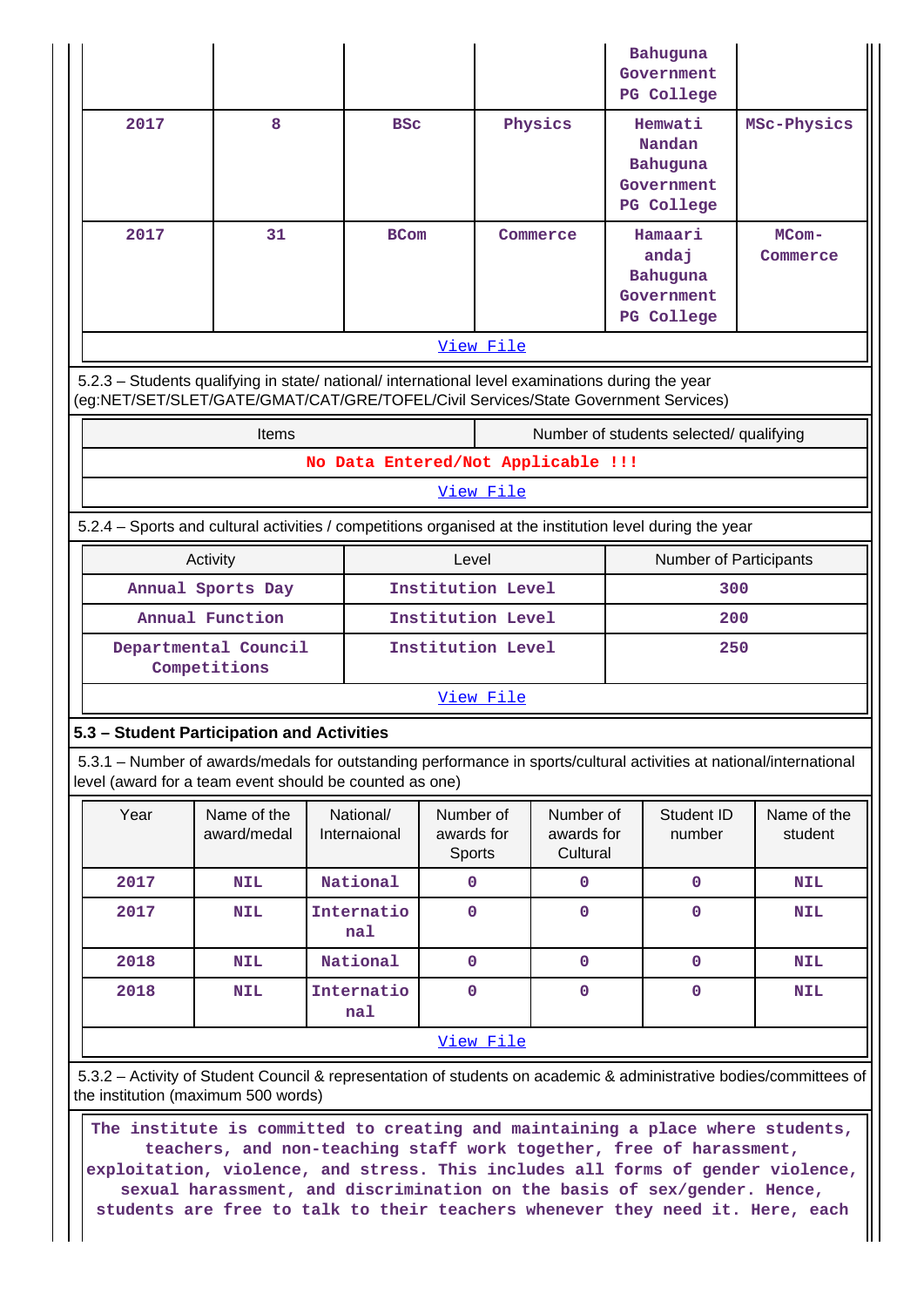|                                                                                                  |                                      |                                    |                                   |                                     | Bahuguna<br>Government<br>PG College                                                                                |                        |  |
|--------------------------------------------------------------------------------------------------|--------------------------------------|------------------------------------|-----------------------------------|-------------------------------------|---------------------------------------------------------------------------------------------------------------------|------------------------|--|
| 2017                                                                                             | 8                                    | <b>BSC</b>                         |                                   | Physics                             | Hemwati<br>Nandan<br>Bahuguna<br>Government<br>PG College                                                           | MSc-Physics            |  |
| 2017                                                                                             | 31                                   | <b>BCom</b>                        |                                   | Commerce                            | Hamaari<br>andaj<br>Bahuguna<br>Government<br>PG College                                                            | $MCom-$<br>Commerce    |  |
|                                                                                                  |                                      |                                    | View File                         |                                     |                                                                                                                     |                        |  |
| 5.2.3 - Students qualifying in state/ national/ international level examinations during the year |                                      |                                    |                                   |                                     | (eg:NET/SET/SLET/GATE/GMAT/CAT/GRE/TOFEL/Civil Services/State Government Services)                                  |                        |  |
|                                                                                                  | Items                                |                                    |                                   |                                     | Number of students selected/ qualifying                                                                             |                        |  |
|                                                                                                  |                                      | No Data Entered/Not Applicable !!! |                                   |                                     |                                                                                                                     |                        |  |
|                                                                                                  |                                      |                                    | View File                         |                                     |                                                                                                                     |                        |  |
|                                                                                                  |                                      |                                    |                                   |                                     | 5.2.4 – Sports and cultural activities / competitions organised at the institution level during the year            |                        |  |
|                                                                                                  | Activity                             |                                    | Level                             |                                     | Number of Participants                                                                                              |                        |  |
|                                                                                                  | Annual Sports Day                    |                                    | Institution Level                 |                                     | 300                                                                                                                 |                        |  |
|                                                                                                  | Annual Function                      |                                    | Institution Level                 |                                     | 200                                                                                                                 |                        |  |
|                                                                                                  | Departmental Council<br>Competitions |                                    | Institution Level                 |                                     | 250                                                                                                                 |                        |  |
|                                                                                                  |                                      |                                    | View File                         |                                     |                                                                                                                     |                        |  |
| 5.3 - Student Participation and Activities                                                       |                                      |                                    |                                   |                                     |                                                                                                                     |                        |  |
| level (award for a team event should be counted as one)                                          |                                      |                                    |                                   |                                     | 5.3.1 – Number of awards/medals for outstanding performance in sports/cultural activities at national/international |                        |  |
| Year                                                                                             | Name of the<br>award/medal           | National/<br>Internaional          | Number of<br>awards for<br>Sports | Number of<br>awards for<br>Cultural | Student ID<br>number                                                                                                | Name of the<br>student |  |
| 2017                                                                                             | <b>NIL</b>                           | National                           | $\mathbf 0$                       | 0                                   | 0                                                                                                                   | <b>NIL</b>             |  |
| 2017                                                                                             | <b>NIL</b>                           | Internatio<br>nal                  | $\mathbf 0$                       | 0                                   | $\mathbf 0$                                                                                                         | <b>NIL</b>             |  |
| 2018                                                                                             | <b>NIL</b>                           | National                           | $\mathbf 0$                       | 0                                   | 0                                                                                                                   | <b>NIL</b>             |  |
| 2018                                                                                             | <b>NIL</b>                           | Internatio<br>nal                  | $\mathbf 0$                       | 0                                   | 0                                                                                                                   | <b>NIL</b>             |  |
|                                                                                                  |                                      |                                    | View File                         |                                     |                                                                                                                     |                        |  |
| the institution (maximum 500 words)                                                              |                                      |                                    |                                   |                                     | 5.3.2 - Activity of Student Council & representation of students on academic & administrative bodies/committees of  |                        |  |

 **The institute is committed to creating and maintaining a place where students, teachers, and non-teaching staff work together, free of harassment, exploitation, violence, and stress. This includes all forms of gender violence, sexual harassment, and discrimination on the basis of sex/gender. Hence, students are free to talk to their teachers whenever they need it. Here, each**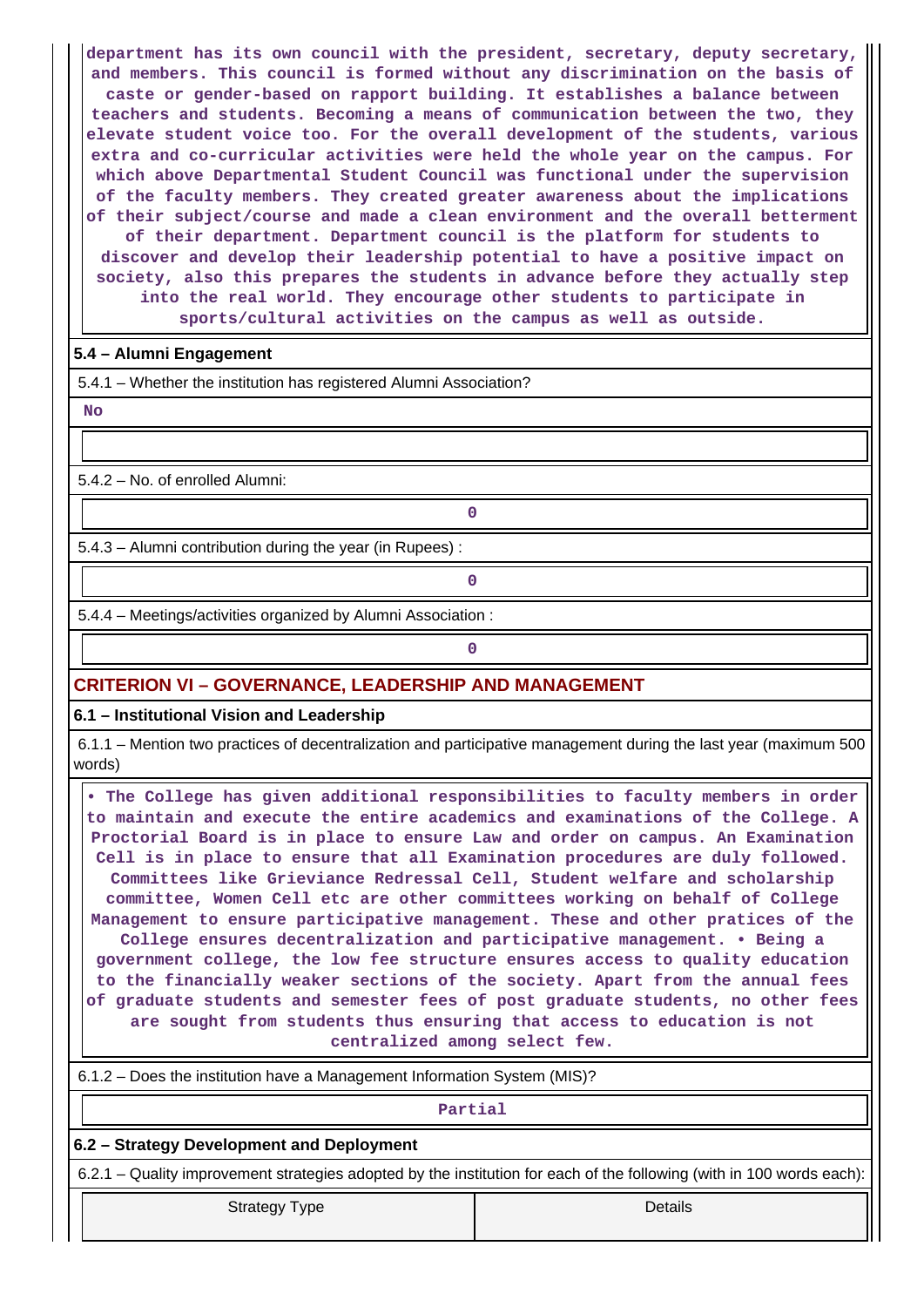**department has its own council with the president, secretary, deputy secretary, and members. This council is formed without any discrimination on the basis of caste or gender-based on rapport building. It establishes a balance between teachers and students. Becoming a means of communication between the two, they elevate student voice too. For the overall development of the students, various extra and co-curricular activities were held the whole year on the campus. For which above Departmental Student Council was functional under the supervision of the faculty members. They created greater awareness about the implications of their subject/course and made a clean environment and the overall betterment of their department. Department council is the platform for students to discover and develop their leadership potential to have a positive impact on society, also this prepares the students in advance before they actually step into the real world. They encourage other students to participate in sports/cultural activities on the campus as well as outside.**

### **5.4 – Alumni Engagement**

5.4.1 – Whether the institution has registered Alumni Association?

 **No**

5.4.2 – No. of enrolled Alumni:

5.4.3 – Alumni contribution during the year (in Rupees) :

**0**

**0**

5.4.4 – Meetings/activities organized by Alumni Association :

### **CRITERION VI – GOVERNANCE, LEADERSHIP AND MANAGEMENT**

**6.1 – Institutional Vision and Leadership**

 6.1.1 – Mention two practices of decentralization and participative management during the last year (maximum 500 words)

 **• The College has given additional responsibilities to faculty members in order to maintain and execute the entire academics and examinations of the College. A Proctorial Board is in place to ensure Law and order on campus. An Examination Cell is in place to ensure that all Examination procedures are duly followed. Committees like Grieviance Redressal Cell, Student welfare and scholarship committee, Women Cell etc are other committees working on behalf of College Management to ensure participative management. These and other pratices of the College ensures decentralization and participative management. • Being a government college, the low fee structure ensures access to quality education to the financially weaker sections of the society. Apart from the annual fees of graduate students and semester fees of post graduate students, no other fees are sought from students thus ensuring that access to education is not centralized among select few.**

6.1.2 – Does the institution have a Management Information System (MIS)?

| Partial                                                                                                               |         |  |  |  |
|-----------------------------------------------------------------------------------------------------------------------|---------|--|--|--|
| 6.2 – Strategy Development and Deployment                                                                             |         |  |  |  |
| 6.2.1 – Quality improvement strategies adopted by the institution for each of the following (with in 100 words each): |         |  |  |  |
| <b>Strategy Type</b>                                                                                                  | Details |  |  |  |

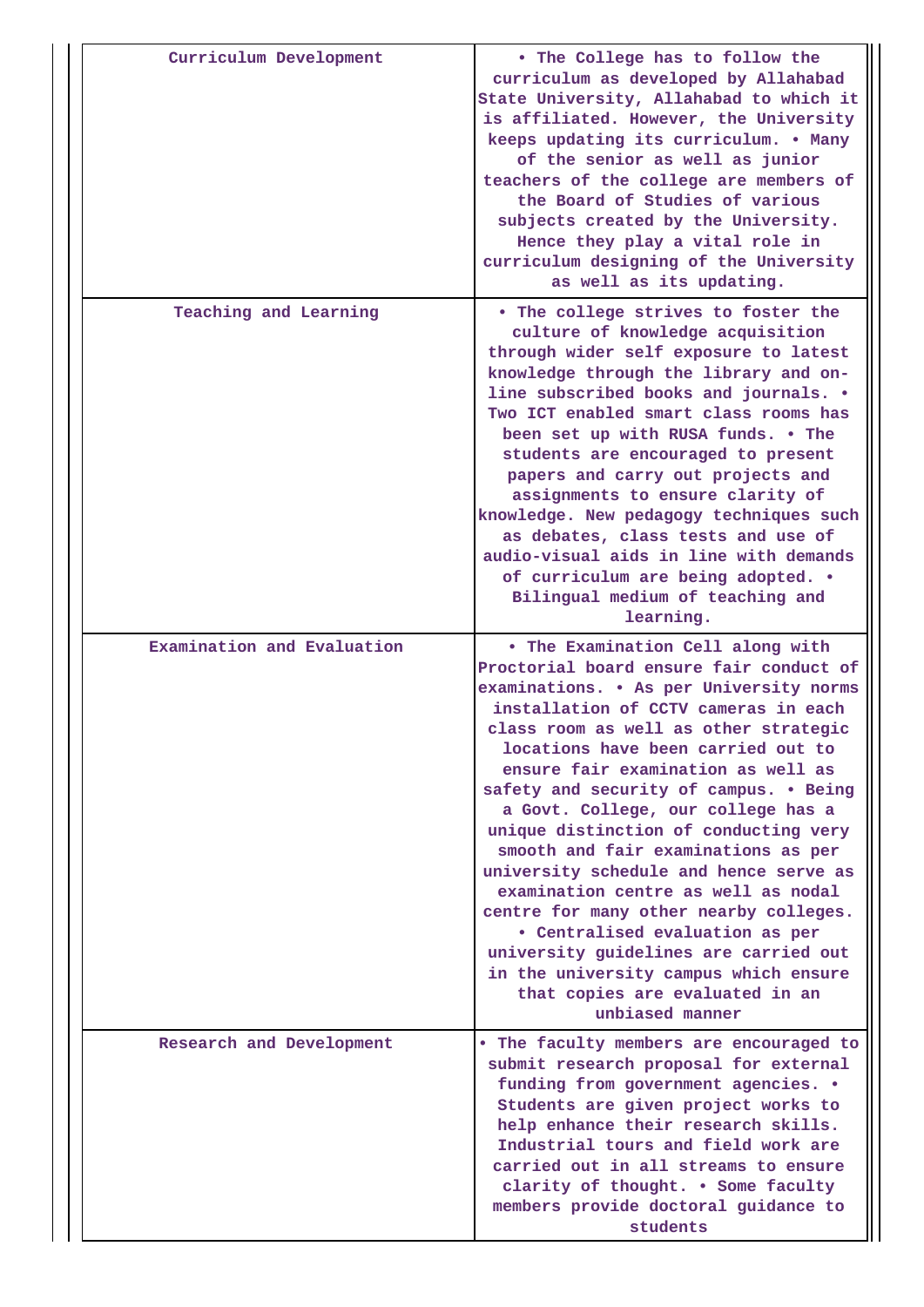| Curriculum Development     | . The College has to follow the<br>curriculum as developed by Allahabad<br>State University, Allahabad to which it<br>is affiliated. However, the University<br>keeps updating its curriculum. . Many<br>of the senior as well as junior<br>teachers of the college are members of<br>the Board of Studies of various<br>subjects created by the University.<br>Hence they play a vital role in<br>curriculum designing of the University<br>as well as its updating.                                                                                                                                                                                                                                                                                      |
|----------------------------|------------------------------------------------------------------------------------------------------------------------------------------------------------------------------------------------------------------------------------------------------------------------------------------------------------------------------------------------------------------------------------------------------------------------------------------------------------------------------------------------------------------------------------------------------------------------------------------------------------------------------------------------------------------------------------------------------------------------------------------------------------|
| Teaching and Learning      | . The college strives to foster the<br>culture of knowledge acquisition<br>through wider self exposure to latest<br>knowledge through the library and on-<br>line subscribed books and journals. .<br>Two ICT enabled smart class rooms has<br>been set up with RUSA funds. . The<br>students are encouraged to present<br>papers and carry out projects and<br>assignments to ensure clarity of<br>knowledge. New pedagogy techniques such<br>as debates, class tests and use of<br>audio-visual aids in line with demands<br>of curriculum are being adopted. .<br>Bilingual medium of teaching and<br>learning.                                                                                                                                         |
| Examination and Evaluation | . The Examination Cell along with<br>Proctorial board ensure fair conduct of<br>examinations. . As per University norms<br>installation of CCTV cameras in each<br>class room as well as other strategic<br>locations have been carried out to<br>ensure fair examination as well as<br>safety and security of campus. . Being<br>a Govt. College, our college has a<br>unique distinction of conducting very<br>smooth and fair examinations as per<br>university schedule and hence serve as<br>examination centre as well as nodal<br>centre for many other nearby colleges.<br>• Centralised evaluation as per<br>university guidelines are carried out<br>in the university campus which ensure<br>that copies are evaluated in an<br>unbiased manner |
| Research and Development   | . The faculty members are encouraged to<br>submit research proposal for external<br>funding from government agencies. .<br>Students are given project works to<br>help enhance their research skills.<br>Industrial tours and field work are<br>carried out in all streams to ensure<br>clarity of thought. . Some faculty<br>members provide doctoral guidance to<br>students                                                                                                                                                                                                                                                                                                                                                                             |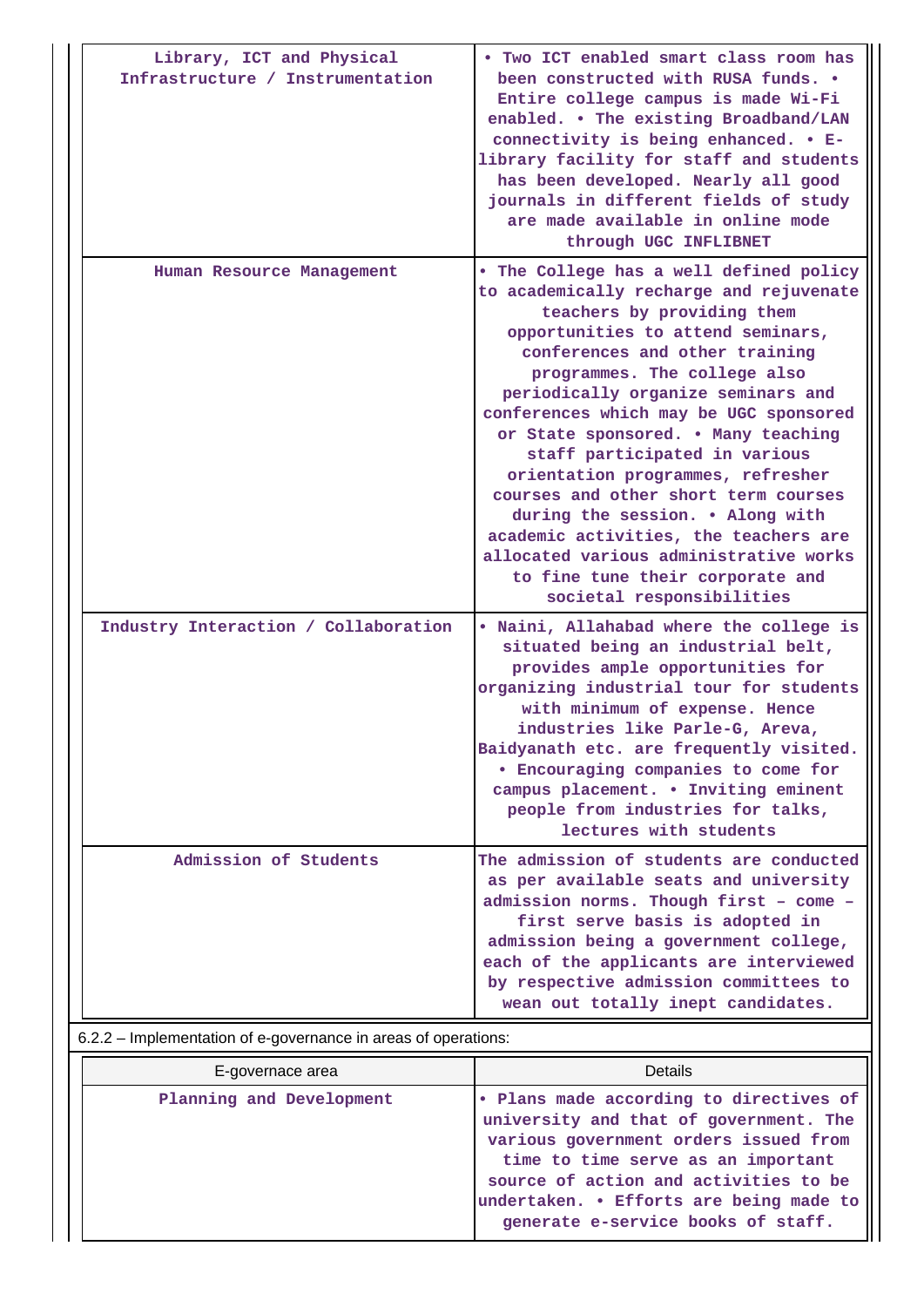| Library, ICT and Physical<br>Infrastructure / Instrumentation | . Two ICT enabled smart class room has<br>been constructed with RUSA funds. .<br>Entire college campus is made Wi-Fi<br>enabled. . The existing Broadband/LAN<br>connectivity is being enhanced. . E-<br>library facility for staff and students<br>has been developed. Nearly all good<br>journals in different fields of study<br>are made available in online mode<br>through UGC INFLIBNET                                                                                                                                                                                                                                                       |
|---------------------------------------------------------------|------------------------------------------------------------------------------------------------------------------------------------------------------------------------------------------------------------------------------------------------------------------------------------------------------------------------------------------------------------------------------------------------------------------------------------------------------------------------------------------------------------------------------------------------------------------------------------------------------------------------------------------------------|
| Human Resource Management                                     | . The College has a well defined policy<br>to academically recharge and rejuvenate<br>teachers by providing them<br>opportunities to attend seminars,<br>conferences and other training<br>programmes. The college also<br>periodically organize seminars and<br>conferences which may be UGC sponsored<br>or State sponsored. . Many teaching<br>staff participated in various<br>orientation programmes, refresher<br>courses and other short term courses<br>during the session. . Along with<br>academic activities, the teachers are<br>allocated various administrative works<br>to fine tune their corporate and<br>societal responsibilities |
| Industry Interaction / Collaboration                          | . Naini, Allahabad where the college is<br>situated being an industrial belt,<br>provides ample opportunities for<br>organizing industrial tour for students<br>with minimum of expense. Hence<br>industries like Parle-G, Areva,<br>Baidyanath etc. are frequently visited.<br><b>• Encouraging companies to come for</b><br>campus placement. . Inviting eminent<br>people from industries for talks,<br>lectures with students                                                                                                                                                                                                                    |
| Admission of Students                                         | The admission of students are conducted<br>as per available seats and university<br>admission norms. Though first - come -<br>first serve basis is adopted in<br>admission being a government college,<br>each of the applicants are interviewed<br>by respective admission committees to<br>wean out totally inept candidates.                                                                                                                                                                                                                                                                                                                      |

6.2.2 – Implementation of e-governance in areas of operations:

| E-governace area         | <b>Details</b>                                                                                                                                                                                                                                                                           |
|--------------------------|------------------------------------------------------------------------------------------------------------------------------------------------------------------------------------------------------------------------------------------------------------------------------------------|
| Planning and Development | Plans made according to directives of<br>university and that of government. The<br>various government orders issued from<br>time to time serve as an important<br>source of action and activities to be<br>undertaken. • Efforts are being made to<br>generate e-service books of staff. |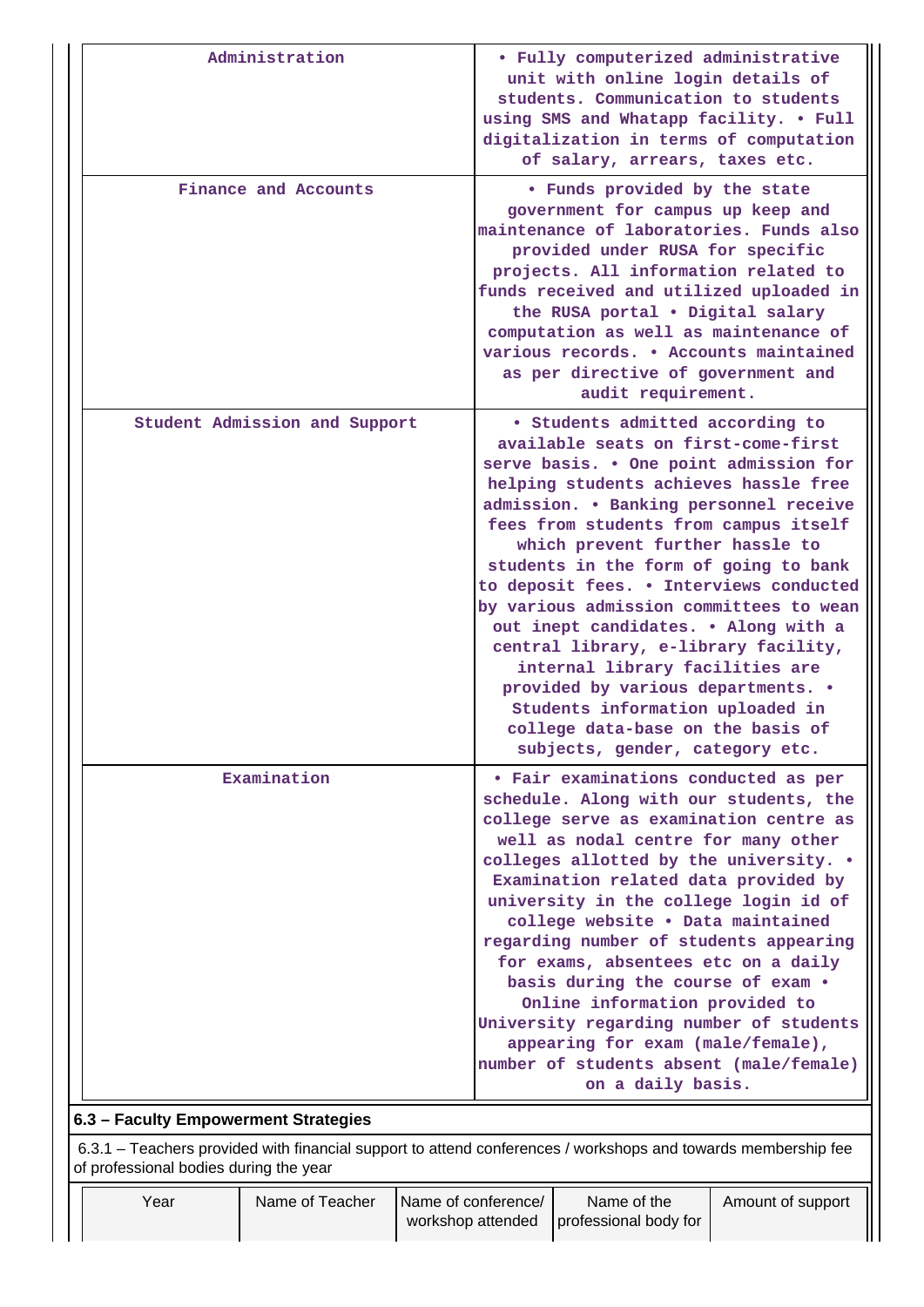|                                      | Administration                                                                                                                                          |                     | • Fully computerized administrative<br>unit with online login details of<br>students. Communication to students<br>using SMS and Whatapp facility. . Full<br>digitalization in terms of computation                                                                                                                                                                                                                     |                                                                                                                                                                                                                                                                                                                                                                                                                                                                                                                                                                                                                                                                                      |                   |  |  |  |
|--------------------------------------|---------------------------------------------------------------------------------------------------------------------------------------------------------|---------------------|-------------------------------------------------------------------------------------------------------------------------------------------------------------------------------------------------------------------------------------------------------------------------------------------------------------------------------------------------------------------------------------------------------------------------|--------------------------------------------------------------------------------------------------------------------------------------------------------------------------------------------------------------------------------------------------------------------------------------------------------------------------------------------------------------------------------------------------------------------------------------------------------------------------------------------------------------------------------------------------------------------------------------------------------------------------------------------------------------------------------------|-------------------|--|--|--|
|                                      |                                                                                                                                                         |                     |                                                                                                                                                                                                                                                                                                                                                                                                                         | of salary, arrears, taxes etc.                                                                                                                                                                                                                                                                                                                                                                                                                                                                                                                                                                                                                                                       |                   |  |  |  |
|                                      | Finance and Accounts                                                                                                                                    |                     | . Funds provided by the state<br>government for campus up keep and<br>maintenance of laboratories. Funds also<br>provided under RUSA for specific<br>projects. All information related to<br>funds received and utilized uploaded in<br>the RUSA portal . Digital salary<br>computation as well as maintenance of<br>various records. . Accounts maintained<br>as per directive of government and<br>audit requirement. |                                                                                                                                                                                                                                                                                                                                                                                                                                                                                                                                                                                                                                                                                      |                   |  |  |  |
|                                      | Student Admission and Support                                                                                                                           |                     |                                                                                                                                                                                                                                                                                                                                                                                                                         | • Students admitted according to<br>available seats on first-come-first<br>serve basis. . One point admission for<br>helping students achieves hassle free<br>admission. . Banking personnel receive<br>fees from students from campus itself<br>which prevent further hassle to<br>students in the form of going to bank<br>to deposit fees. . Interviews conducted<br>by various admission committees to wean<br>out inept candidates. . Along with a<br>central library, e-library facility,<br>internal library facilities are<br>provided by various departments. .<br>Students information uploaded in<br>college data-base on the basis of<br>subjects, gender, category etc. |                   |  |  |  |
|                                      | Examination                                                                                                                                             |                     |                                                                                                                                                                                                                                                                                                                                                                                                                         | • Fair examinations conducted as per<br>schedule. Along with our students, the<br>college serve as examination centre as<br>well as nodal centre for many other<br>colleges allotted by the university. .<br>Examination related data provided by<br>university in the college login id of<br>college website . Data maintained<br>regarding number of students appearing<br>for exams, absentees etc on a daily<br>basis during the course of exam .<br>Online information provided to<br>University regarding number of students<br>appearing for exam (male/female),<br>number of students absent (male/female)<br>on a daily basis.                                              |                   |  |  |  |
| 6.3 - Faculty Empowerment Strategies |                                                                                                                                                         |                     |                                                                                                                                                                                                                                                                                                                                                                                                                         |                                                                                                                                                                                                                                                                                                                                                                                                                                                                                                                                                                                                                                                                                      |                   |  |  |  |
|                                      | 6.3.1 – Teachers provided with financial support to attend conferences / workshops and towards membership fee<br>of professional bodies during the year |                     |                                                                                                                                                                                                                                                                                                                                                                                                                         |                                                                                                                                                                                                                                                                                                                                                                                                                                                                                                                                                                                                                                                                                      |                   |  |  |  |
| Year                                 | Name of Teacher                                                                                                                                         | Name of conference/ | workshop attended                                                                                                                                                                                                                                                                                                                                                                                                       | Name of the<br>professional body for                                                                                                                                                                                                                                                                                                                                                                                                                                                                                                                                                                                                                                                 | Amount of support |  |  |  |

 $\parallel \parallel$ 

 $\mathbf{||}$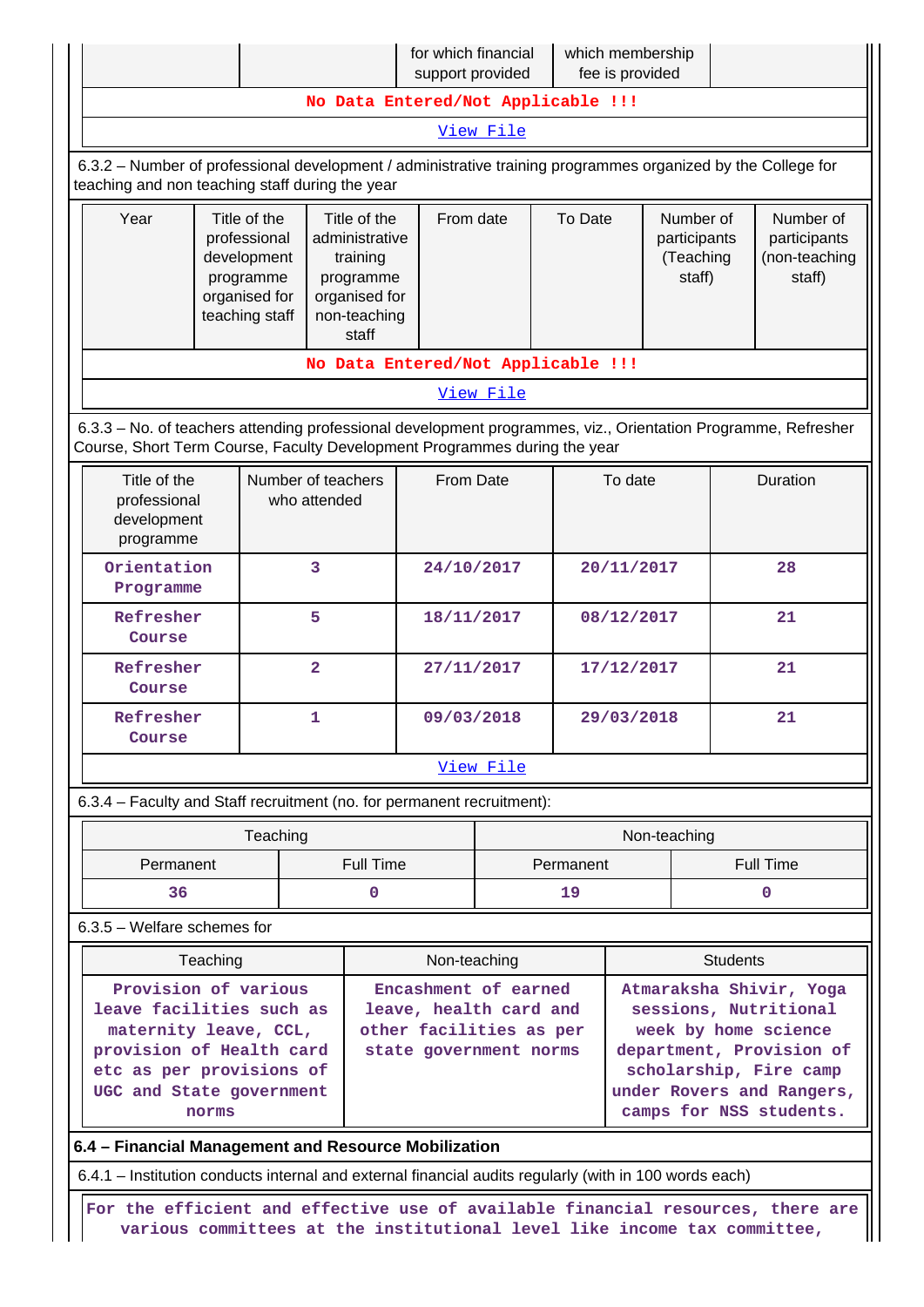|                                                                                                                                                                        |  |                                                                                                   |                                    | for which financial<br>support provided                                   |                                                                                                     |            | which membership<br>fee is provided              |                                                                                                                                                                                        |                                                      |                                                                                                               |
|------------------------------------------------------------------------------------------------------------------------------------------------------------------------|--|---------------------------------------------------------------------------------------------------|------------------------------------|---------------------------------------------------------------------------|-----------------------------------------------------------------------------------------------------|------------|--------------------------------------------------|----------------------------------------------------------------------------------------------------------------------------------------------------------------------------------------|------------------------------------------------------|---------------------------------------------------------------------------------------------------------------|
| No Data Entered/Not Applicable !!!                                                                                                                                     |  |                                                                                                   |                                    |                                                                           |                                                                                                     |            |                                                  |                                                                                                                                                                                        |                                                      |                                                                                                               |
| View File                                                                                                                                                              |  |                                                                                                   |                                    |                                                                           |                                                                                                     |            |                                                  |                                                                                                                                                                                        |                                                      |                                                                                                               |
| 6.3.2 - Number of professional development / administrative training programmes organized by the College for<br>teaching and non teaching staff during the year        |  |                                                                                                   |                                    |                                                                           |                                                                                                     |            |                                                  |                                                                                                                                                                                        |                                                      |                                                                                                               |
| Year<br>Title of the<br>professional<br>development<br>programme<br>organised for<br>teaching staff                                                                    |  | Title of the<br>administrative<br>training<br>programme<br>organised for<br>non-teaching<br>staff | From date                          | To Date                                                                   |                                                                                                     |            | Number of<br>participants<br>(Teaching<br>staff) |                                                                                                                                                                                        | Number of<br>participants<br>(non-teaching<br>staff) |                                                                                                               |
|                                                                                                                                                                        |  |                                                                                                   |                                    | No Data Entered/Not Applicable !!!                                        |                                                                                                     |            |                                                  |                                                                                                                                                                                        |                                                      |                                                                                                               |
|                                                                                                                                                                        |  |                                                                                                   |                                    |                                                                           | View File                                                                                           |            |                                                  |                                                                                                                                                                                        |                                                      |                                                                                                               |
|                                                                                                                                                                        |  |                                                                                                   |                                    | Course, Short Term Course, Faculty Development Programmes during the year |                                                                                                     |            |                                                  |                                                                                                                                                                                        |                                                      | 6.3.3 - No. of teachers attending professional development programmes, viz., Orientation Programme, Refresher |
| Title of the<br>professional<br>development<br>programme                                                                                                               |  |                                                                                                   | Number of teachers<br>who attended | From Date                                                                 |                                                                                                     |            | To date                                          |                                                                                                                                                                                        | Duration                                             |                                                                                                               |
| Orientation<br>Programme                                                                                                                                               |  |                                                                                                   | 3                                  | 24/10/2017                                                                |                                                                                                     |            | 20/11/2017                                       |                                                                                                                                                                                        | 28                                                   |                                                                                                               |
| 5<br>Refresher<br>Course                                                                                                                                               |  |                                                                                                   | 18/11/2017                         |                                                                           |                                                                                                     | 08/12/2017 |                                                  | 21                                                                                                                                                                                     |                                                      |                                                                                                               |
| Refresher<br>Course                                                                                                                                                    |  |                                                                                                   | $\overline{\mathbf{2}}$            | 27/11/2017                                                                |                                                                                                     |            | 17/12/2017                                       |                                                                                                                                                                                        |                                                      | 21                                                                                                            |
| Refresher<br>Course                                                                                                                                                    |  |                                                                                                   | 1                                  | 09/03/2018                                                                |                                                                                                     | 29/03/2018 |                                                  |                                                                                                                                                                                        | 21                                                   |                                                                                                               |
|                                                                                                                                                                        |  |                                                                                                   |                                    |                                                                           | View File                                                                                           |            |                                                  |                                                                                                                                                                                        |                                                      |                                                                                                               |
|                                                                                                                                                                        |  |                                                                                                   |                                    | 6.3.4 - Faculty and Staff recruitment (no. for permanent recruitment):    |                                                                                                     |            |                                                  |                                                                                                                                                                                        |                                                      |                                                                                                               |
|                                                                                                                                                                        |  | Teaching                                                                                          |                                    |                                                                           |                                                                                                     |            |                                                  | Non-teaching                                                                                                                                                                           |                                                      |                                                                                                               |
| Permanent                                                                                                                                                              |  |                                                                                                   | <b>Full Time</b>                   |                                                                           |                                                                                                     | Permanent  |                                                  |                                                                                                                                                                                        | <b>Full Time</b>                                     |                                                                                                               |
| 36                                                                                                                                                                     |  | 0                                                                                                 |                                    | 19                                                                        |                                                                                                     | 0          |                                                  |                                                                                                                                                                                        |                                                      |                                                                                                               |
| $6.3.5$ – Welfare schemes for                                                                                                                                          |  |                                                                                                   |                                    |                                                                           |                                                                                                     |            |                                                  |                                                                                                                                                                                        |                                                      |                                                                                                               |
| <b>Students</b><br>Teaching<br>Non-teaching                                                                                                                            |  |                                                                                                   |                                    |                                                                           |                                                                                                     |            |                                                  |                                                                                                                                                                                        |                                                      |                                                                                                               |
| Provision of various<br>leave facilities such as<br>maternity leave, CCL,<br>provision of Health card<br>etc as per provisions of<br>UGC and State government<br>norms |  |                                                                                                   |                                    |                                                                           | Encashment of earned<br>leave, health card and<br>other facilities as per<br>state government norms |            |                                                  | Atmaraksha Shivir, Yoga<br>sessions, Nutritional<br>week by home science<br>department, Provision of<br>scholarship, Fire camp<br>under Rovers and Rangers,<br>camps for NSS students. |                                                      |                                                                                                               |
| 6.4 - Financial Management and Resource Mobilization                                                                                                                   |  |                                                                                                   |                                    |                                                                           |                                                                                                     |            |                                                  |                                                                                                                                                                                        |                                                      |                                                                                                               |
| 6.4.1 – Institution conducts internal and external financial audits regularly (with in 100 words each)                                                                 |  |                                                                                                   |                                    |                                                                           |                                                                                                     |            |                                                  |                                                                                                                                                                                        |                                                      |                                                                                                               |

 **For the efficient and effective use of available financial resources, there are various committees at the institutional level like income tax committee,**

Ш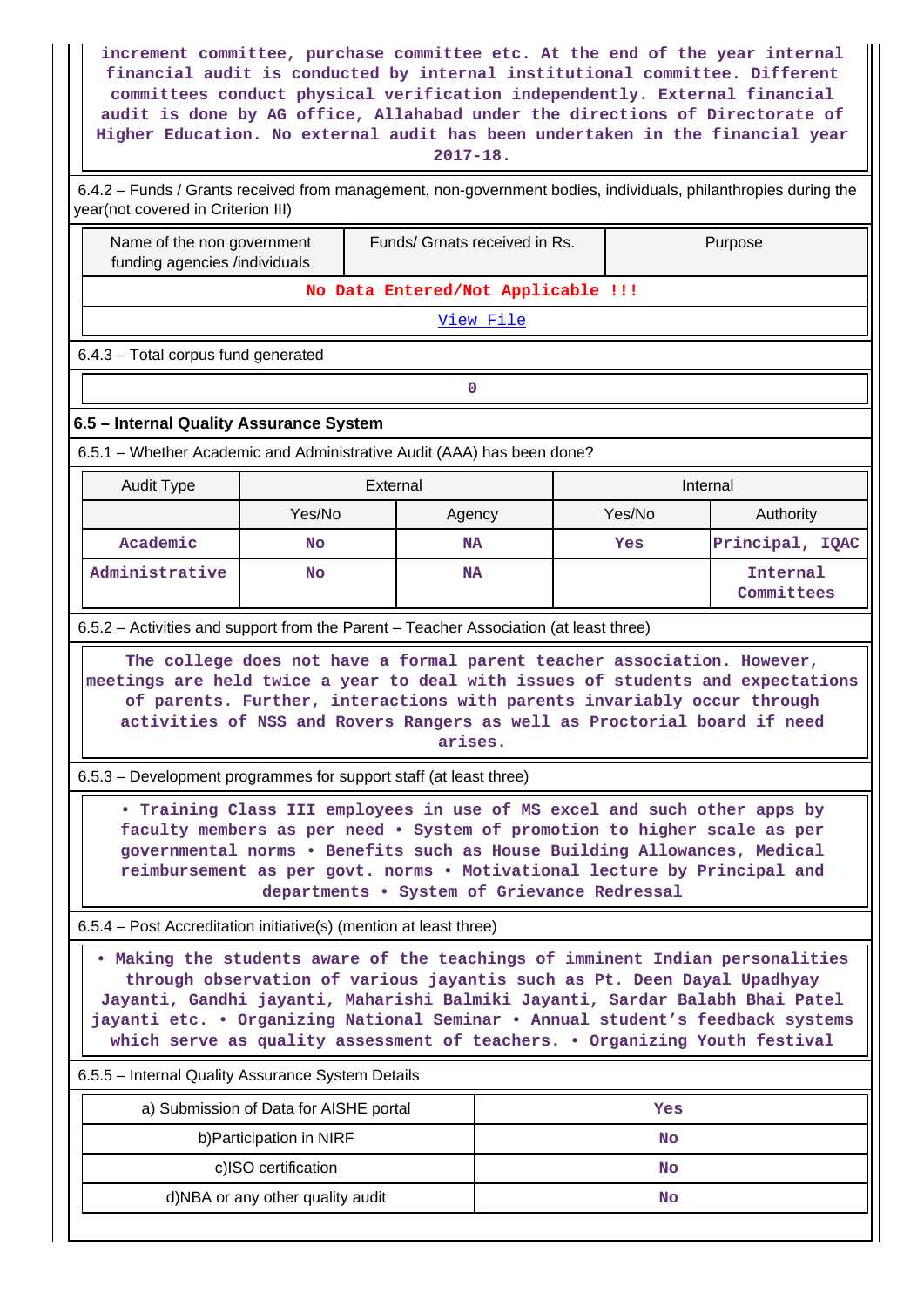| increment committee, purchase committee etc. At the end of the year internal<br>financial audit is conducted by internal institutional committee. Different<br>committees conduct physical verification independently. External financial<br>audit is done by AG office, Allahabad under the directions of Directorate of<br>Higher Education. No external audit has been undertaken in the financial year<br>2017-18. |                                                                                                                                                                                                                                                                                                                              |                                                                        |  |           |                        |  |  |  |  |  |
|------------------------------------------------------------------------------------------------------------------------------------------------------------------------------------------------------------------------------------------------------------------------------------------------------------------------------------------------------------------------------------------------------------------------|------------------------------------------------------------------------------------------------------------------------------------------------------------------------------------------------------------------------------------------------------------------------------------------------------------------------------|------------------------------------------------------------------------|--|-----------|------------------------|--|--|--|--|--|
| 6.4.2 - Funds / Grants received from management, non-government bodies, individuals, philanthropies during the<br>year(not covered in Criterion III)                                                                                                                                                                                                                                                                   |                                                                                                                                                                                                                                                                                                                              |                                                                        |  |           |                        |  |  |  |  |  |
|                                                                                                                                                                                                                                                                                                                                                                                                                        | Name of the non government<br>Funds/ Grnats received in Rs.<br>Purpose<br>funding agencies /individuals                                                                                                                                                                                                                      |                                                                        |  |           |                        |  |  |  |  |  |
|                                                                                                                                                                                                                                                                                                                                                                                                                        | No Data Entered/Not Applicable !!!                                                                                                                                                                                                                                                                                           |                                                                        |  |           |                        |  |  |  |  |  |
|                                                                                                                                                                                                                                                                                                                                                                                                                        |                                                                                                                                                                                                                                                                                                                              | View File                                                              |  |           |                        |  |  |  |  |  |
| 6.4.3 - Total corpus fund generated                                                                                                                                                                                                                                                                                                                                                                                    |                                                                                                                                                                                                                                                                                                                              |                                                                        |  |           |                        |  |  |  |  |  |
|                                                                                                                                                                                                                                                                                                                                                                                                                        |                                                                                                                                                                                                                                                                                                                              | $\mathbf 0$                                                            |  |           |                        |  |  |  |  |  |
| 6.5 - Internal Quality Assurance System                                                                                                                                                                                                                                                                                                                                                                                |                                                                                                                                                                                                                                                                                                                              |                                                                        |  |           |                        |  |  |  |  |  |
|                                                                                                                                                                                                                                                                                                                                                                                                                        |                                                                                                                                                                                                                                                                                                                              | 6.5.1 - Whether Academic and Administrative Audit (AAA) has been done? |  |           |                        |  |  |  |  |  |
| <b>Audit Type</b>                                                                                                                                                                                                                                                                                                                                                                                                      |                                                                                                                                                                                                                                                                                                                              | External                                                               |  | Internal  |                        |  |  |  |  |  |
|                                                                                                                                                                                                                                                                                                                                                                                                                        | Yes/No                                                                                                                                                                                                                                                                                                                       | Agency                                                                 |  | Yes/No    | Authority              |  |  |  |  |  |
| Academic                                                                                                                                                                                                                                                                                                                                                                                                               | <b>No</b>                                                                                                                                                                                                                                                                                                                    | <b>NA</b>                                                              |  | Yes       | Principal, IQAC        |  |  |  |  |  |
| Administrative                                                                                                                                                                                                                                                                                                                                                                                                         | No                                                                                                                                                                                                                                                                                                                           | <b>NA</b>                                                              |  |           | Internal<br>Committees |  |  |  |  |  |
|                                                                                                                                                                                                                                                                                                                                                                                                                        | 6.5.2 - Activities and support from the Parent - Teacher Association (at least three)                                                                                                                                                                                                                                        |                                                                        |  |           |                        |  |  |  |  |  |
|                                                                                                                                                                                                                                                                                                                                                                                                                        | The college does not have a formal parent teacher association. However,<br>meetings are held twice a year to deal with issues of students and expectations<br>of parents. Further, interactions with parents invariably occur through<br>activities of NSS and Rovers Rangers as well as Proctorial board if need<br>arises. |                                                                        |  |           |                        |  |  |  |  |  |
| 6.5.3 - Development programmes for support staff (at least three)                                                                                                                                                                                                                                                                                                                                                      |                                                                                                                                                                                                                                                                                                                              |                                                                        |  |           |                        |  |  |  |  |  |
| . Training Class III employees in use of MS excel and such other apps by<br>faculty members as per need . System of promotion to higher scale as per<br>governmental norms . Benefits such as House Building Allowances, Medical<br>reimbursement as per govt. norms . Motivational lecture by Principal and<br>departments . System of Grievance Redressal                                                            |                                                                                                                                                                                                                                                                                                                              |                                                                        |  |           |                        |  |  |  |  |  |
| 6.5.4 – Post Accreditation initiative(s) (mention at least three)                                                                                                                                                                                                                                                                                                                                                      |                                                                                                                                                                                                                                                                                                                              |                                                                        |  |           |                        |  |  |  |  |  |
| . Making the students aware of the teachings of imminent Indian personalities<br>through observation of various jayantis such as Pt. Deen Dayal Upadhyay<br>Jayanti, Gandhi jayanti, Maharishi Balmiki Jayanti, Sardar Balabh Bhai Patel<br>jayanti etc. . Organizing National Seminar . Annual student's feedback systems<br>which serve as quality assessment of teachers. . Organizing Youth festival               |                                                                                                                                                                                                                                                                                                                              |                                                                        |  |           |                        |  |  |  |  |  |
| 6.5.5 - Internal Quality Assurance System Details                                                                                                                                                                                                                                                                                                                                                                      |                                                                                                                                                                                                                                                                                                                              |                                                                        |  |           |                        |  |  |  |  |  |
|                                                                                                                                                                                                                                                                                                                                                                                                                        | a) Submission of Data for AISHE portal                                                                                                                                                                                                                                                                                       |                                                                        |  | Yes       |                        |  |  |  |  |  |
|                                                                                                                                                                                                                                                                                                                                                                                                                        | b) Participation in NIRF                                                                                                                                                                                                                                                                                                     |                                                                        |  | No        |                        |  |  |  |  |  |
|                                                                                                                                                                                                                                                                                                                                                                                                                        | c)ISO certification                                                                                                                                                                                                                                                                                                          |                                                                        |  | <b>No</b> |                        |  |  |  |  |  |
| d)NBA or any other quality audit<br>No                                                                                                                                                                                                                                                                                                                                                                                 |                                                                                                                                                                                                                                                                                                                              |                                                                        |  |           |                        |  |  |  |  |  |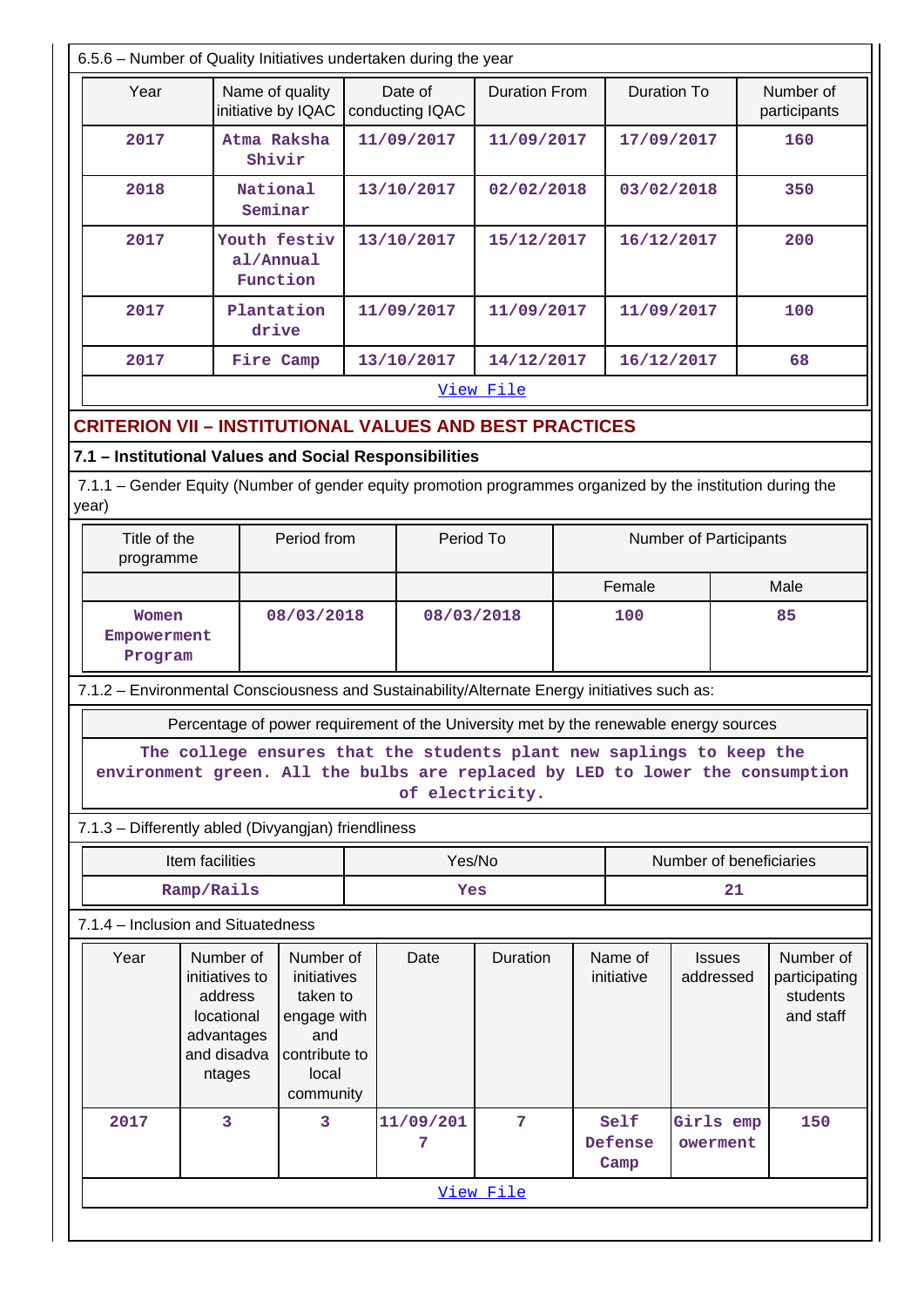| Year                          |                                                                                                             | Name of quality                                            |            | Date of                                                                                      | <b>Duration From</b> |            | <b>Duration To</b>      |                            | Number of                                           |
|-------------------------------|-------------------------------------------------------------------------------------------------------------|------------------------------------------------------------|------------|----------------------------------------------------------------------------------------------|----------------------|------------|-------------------------|----------------------------|-----------------------------------------------------|
|                               | initiative by IQAC                                                                                          |                                                            |            | conducting IQAC                                                                              |                      |            |                         |                            | participants                                        |
| 2017<br>Atma Raksha<br>Shivir |                                                                                                             |                                                            |            | 11/09/2017                                                                                   | 11/09/2017           |            | 17/09/2017              |                            | 160                                                 |
| 2018<br>National              |                                                                                                             | Seminar                                                    |            | 13/10/2017                                                                                   | 02/02/2018           |            | 03/02/2018              |                            | 350                                                 |
| 2017                          |                                                                                                             | Youth festiv<br>al/Annual<br>Function                      | 13/10/2017 |                                                                                              | 15/12/2017           |            | 16/12/2017              |                            | 200                                                 |
| 2017                          | Plantation<br>drive                                                                                         |                                                            |            | 11/09/2017                                                                                   |                      | 11/09/2017 |                         | 11/09/2017                 | 100                                                 |
| 2017                          | Fire Camp                                                                                                   |                                                            |            | 13/10/2017                                                                                   | 14/12/2017           |            | 16/12/2017              |                            | 68                                                  |
|                               |                                                                                                             |                                                            |            |                                                                                              | View File            |            |                         |                            |                                                     |
|                               | <b>CRITERION VII - INSTITUTIONAL VALUES AND BEST PRACTICES</b>                                              |                                                            |            |                                                                                              |                      |            |                         |                            |                                                     |
|                               |                                                                                                             |                                                            |            |                                                                                              |                      |            |                         |                            |                                                     |
|                               | 7.1 - Institutional Values and Social Responsibilities                                                      |                                                            |            |                                                                                              |                      |            |                         |                            |                                                     |
|                               | 7.1.1 – Gender Equity (Number of gender equity promotion programmes organized by the institution during the |                                                            |            |                                                                                              |                      |            |                         |                            |                                                     |
| year)                         |                                                                                                             |                                                            |            |                                                                                              |                      |            |                         |                            |                                                     |
| Title of the                  |                                                                                                             | Period from                                                |            | Period To                                                                                    |                      |            |                         | Number of Participants     |                                                     |
| programme                     |                                                                                                             |                                                            |            |                                                                                              |                      |            |                         |                            |                                                     |
|                               |                                                                                                             |                                                            |            |                                                                                              |                      | Female     |                         |                            | Male                                                |
| Women                         |                                                                                                             | 08/03/2018                                                 |            |                                                                                              | 08/03/2018<br>100    |            |                         | 85                         |                                                     |
| Empowerment                   |                                                                                                             |                                                            |            |                                                                                              |                      |            |                         |                            |                                                     |
| Program                       |                                                                                                             |                                                            |            |                                                                                              |                      |            |                         |                            |                                                     |
|                               |                                                                                                             |                                                            |            |                                                                                              |                      |            |                         |                            |                                                     |
|                               |                                                                                                             |                                                            |            | 7.1.2 - Environmental Consciousness and Sustainability/Alternate Energy initiatives such as: |                      |            |                         |                            |                                                     |
|                               |                                                                                                             |                                                            |            |                                                                                              |                      |            |                         |                            |                                                     |
|                               | Percentage of power requirement of the University met by the renewable energy sources                       |                                                            |            |                                                                                              |                      |            |                         |                            |                                                     |
|                               | The college ensures that the students plant new saplings to keep the                                        |                                                            |            |                                                                                              |                      |            |                         |                            |                                                     |
|                               | environment green. All the bulbs are replaced by LED to lower the consumption                               |                                                            |            | of electricity.                                                                              |                      |            |                         |                            |                                                     |
|                               |                                                                                                             |                                                            |            |                                                                                              |                      |            |                         |                            |                                                     |
|                               | 7.1.3 - Differently abled (Divyangjan) friendliness                                                         |                                                            |            |                                                                                              |                      |            |                         |                            |                                                     |
|                               | Item facilities                                                                                             |                                                            |            | Yes/No                                                                                       |                      |            |                         | Number of beneficiaries    |                                                     |
|                               | Ramp/Rails                                                                                                  |                                                            |            | Yes                                                                                          |                      |            |                         | 21                         |                                                     |
|                               | 7.1.4 - Inclusion and Situatedness                                                                          |                                                            |            |                                                                                              |                      |            |                         |                            |                                                     |
| Year                          | Number of<br>initiatives to<br>address<br>locational<br>advantages                                          | Number of<br>initiatives<br>taken to<br>engage with<br>and |            | Date                                                                                         | Duration             |            | Name of<br>initiative   | <b>Issues</b><br>addressed | Number of<br>participating<br>students<br>and staff |
|                               | and disadva<br>ntages                                                                                       | contribute to<br>local                                     |            |                                                                                              |                      |            |                         |                            |                                                     |
| 2017                          | 3                                                                                                           | community<br>3                                             |            | 11/09/201<br>7                                                                               | 7                    |            | Self<br>Defense<br>Camp | Girls emp<br>owerment      | 150                                                 |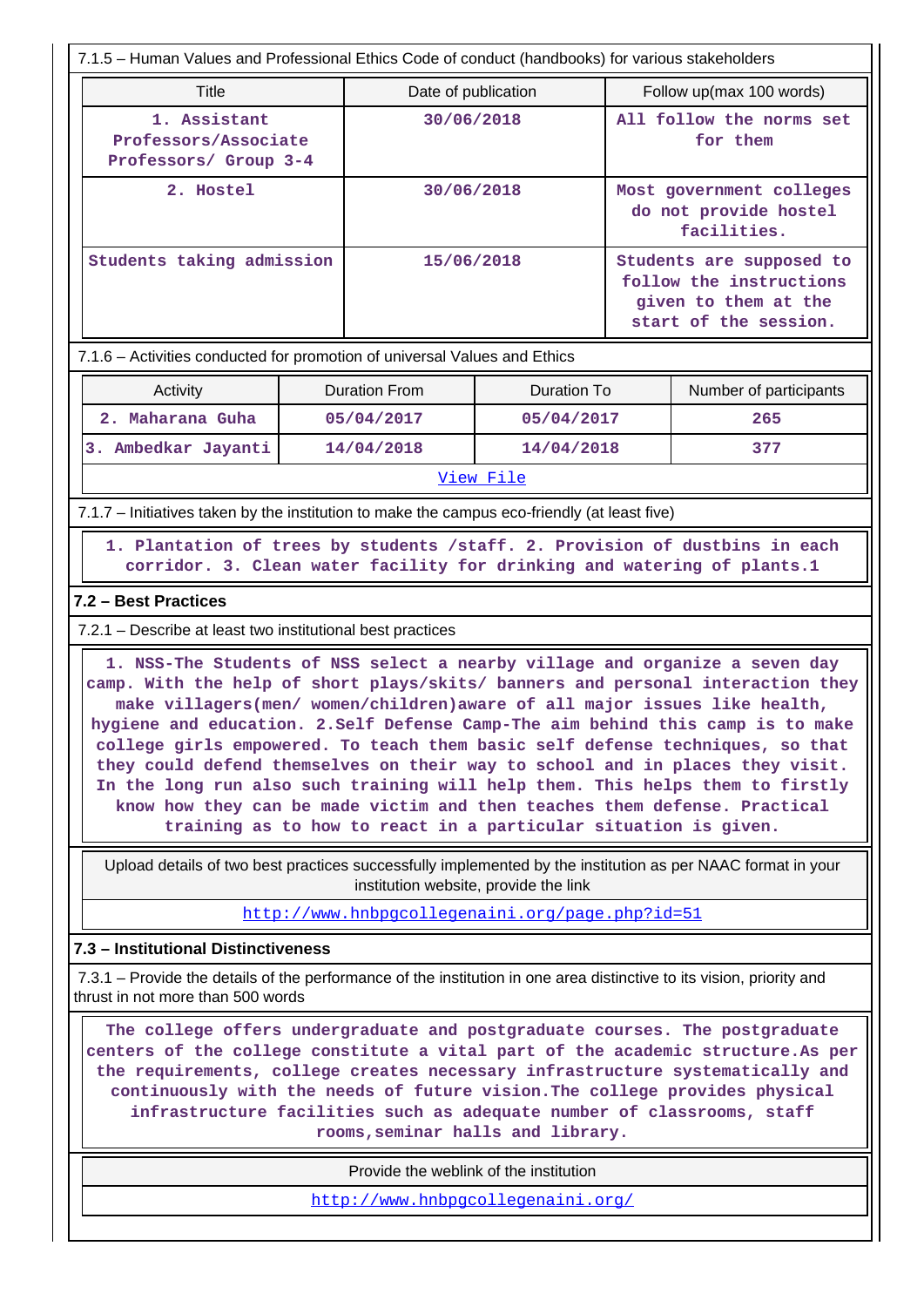| 7.1.5 - Human Values and Professional Ethics Code of conduct (handbooks) for various stakeholders                                                                                                                                                                                                                                                                                                                                              |                                                                                                                                                                                                                                                                                                                                                                                                                                                                                                                                                                                                                                                                                                                                    |                                                 |                    |                                                                                                      |                                                                  |  |  |  |  |
|------------------------------------------------------------------------------------------------------------------------------------------------------------------------------------------------------------------------------------------------------------------------------------------------------------------------------------------------------------------------------------------------------------------------------------------------|------------------------------------------------------------------------------------------------------------------------------------------------------------------------------------------------------------------------------------------------------------------------------------------------------------------------------------------------------------------------------------------------------------------------------------------------------------------------------------------------------------------------------------------------------------------------------------------------------------------------------------------------------------------------------------------------------------------------------------|-------------------------------------------------|--------------------|------------------------------------------------------------------------------------------------------|------------------------------------------------------------------|--|--|--|--|
| <b>Title</b>                                                                                                                                                                                                                                                                                                                                                                                                                                   |                                                                                                                                                                                                                                                                                                                                                                                                                                                                                                                                                                                                                                                                                                                                    | Date of publication                             |                    | Follow up(max 100 words)                                                                             |                                                                  |  |  |  |  |
| 1. Assistant                                                                                                                                                                                                                                                                                                                                                                                                                                   | Professors/Associate<br>Professors/ Group 3-4                                                                                                                                                                                                                                                                                                                                                                                                                                                                                                                                                                                                                                                                                      |                                                 | 30/06/2018         |                                                                                                      | All follow the norms set<br>for them                             |  |  |  |  |
| 2. Hostel                                                                                                                                                                                                                                                                                                                                                                                                                                      |                                                                                                                                                                                                                                                                                                                                                                                                                                                                                                                                                                                                                                                                                                                                    |                                                 | 30/06/2018         |                                                                                                      | Most government colleges<br>do not provide hostel<br>facilities. |  |  |  |  |
| Students taking admission                                                                                                                                                                                                                                                                                                                                                                                                                      |                                                                                                                                                                                                                                                                                                                                                                                                                                                                                                                                                                                                                                                                                                                                    | 15/06/2018                                      |                    | Students are supposed to<br>follow the instructions<br>given to them at the<br>start of the session. |                                                                  |  |  |  |  |
| 7.1.6 - Activities conducted for promotion of universal Values and Ethics                                                                                                                                                                                                                                                                                                                                                                      |                                                                                                                                                                                                                                                                                                                                                                                                                                                                                                                                                                                                                                                                                                                                    |                                                 |                    |                                                                                                      |                                                                  |  |  |  |  |
| Activity                                                                                                                                                                                                                                                                                                                                                                                                                                       |                                                                                                                                                                                                                                                                                                                                                                                                                                                                                                                                                                                                                                                                                                                                    | <b>Duration From</b>                            | <b>Duration To</b> |                                                                                                      | Number of participants                                           |  |  |  |  |
| 2. Maharana Guha                                                                                                                                                                                                                                                                                                                                                                                                                               |                                                                                                                                                                                                                                                                                                                                                                                                                                                                                                                                                                                                                                                                                                                                    | 05/04/2017                                      | 05/04/2017         |                                                                                                      | 265                                                              |  |  |  |  |
| 3. Ambedkar Jayanti                                                                                                                                                                                                                                                                                                                                                                                                                            |                                                                                                                                                                                                                                                                                                                                                                                                                                                                                                                                                                                                                                                                                                                                    | 14/04/2018                                      | 14/04/2018         |                                                                                                      | 377                                                              |  |  |  |  |
|                                                                                                                                                                                                                                                                                                                                                                                                                                                |                                                                                                                                                                                                                                                                                                                                                                                                                                                                                                                                                                                                                                                                                                                                    |                                                 | View File          |                                                                                                      |                                                                  |  |  |  |  |
| 7.1.7 – Initiatives taken by the institution to make the campus eco-friendly (at least five)                                                                                                                                                                                                                                                                                                                                                   |                                                                                                                                                                                                                                                                                                                                                                                                                                                                                                                                                                                                                                                                                                                                    |                                                 |                    |                                                                                                      |                                                                  |  |  |  |  |
|                                                                                                                                                                                                                                                                                                                                                                                                                                                | 1. Plantation of trees by students /staff. 2. Provision of dustbins in each<br>corridor. 3. Clean water facility for drinking and watering of plants.1                                                                                                                                                                                                                                                                                                                                                                                                                                                                                                                                                                             |                                                 |                    |                                                                                                      |                                                                  |  |  |  |  |
| 7.2 - Best Practices                                                                                                                                                                                                                                                                                                                                                                                                                           |                                                                                                                                                                                                                                                                                                                                                                                                                                                                                                                                                                                                                                                                                                                                    |                                                 |                    |                                                                                                      |                                                                  |  |  |  |  |
| 7.2.1 – Describe at least two institutional best practices                                                                                                                                                                                                                                                                                                                                                                                     |                                                                                                                                                                                                                                                                                                                                                                                                                                                                                                                                                                                                                                                                                                                                    |                                                 |                    |                                                                                                      |                                                                  |  |  |  |  |
|                                                                                                                                                                                                                                                                                                                                                                                                                                                | 1. NSS-The Students of NSS select a nearby village and organize a seven day<br>camp. With the help of short plays/skits/ banners and personal interaction they<br>make villagers(men/ women/children) aware of all major issues like health,<br>hygiene and education. 2. Self Defense Camp-The aim behind this camp is to make<br>college girls empowered. To teach them basic self defense techniques, so that<br>they could defend themselves on their way to school and in places they visit.<br>In the long run also such training will help them. This helps them to firstly<br>know how they can be made victim and then teaches them defense. Practical<br>training as to how to react in a particular situation is given. |                                                 |                    |                                                                                                      |                                                                  |  |  |  |  |
| Upload details of two best practices successfully implemented by the institution as per NAAC format in your                                                                                                                                                                                                                                                                                                                                    |                                                                                                                                                                                                                                                                                                                                                                                                                                                                                                                                                                                                                                                                                                                                    | institution website, provide the link           |                    |                                                                                                      |                                                                  |  |  |  |  |
|                                                                                                                                                                                                                                                                                                                                                                                                                                                |                                                                                                                                                                                                                                                                                                                                                                                                                                                                                                                                                                                                                                                                                                                                    | http://www.hnbpgcollegenaini.org/page.php?id=51 |                    |                                                                                                      |                                                                  |  |  |  |  |
| 7.3 - Institutional Distinctiveness                                                                                                                                                                                                                                                                                                                                                                                                            |                                                                                                                                                                                                                                                                                                                                                                                                                                                                                                                                                                                                                                                                                                                                    |                                                 |                    |                                                                                                      |                                                                  |  |  |  |  |
| 7.3.1 – Provide the details of the performance of the institution in one area distinctive to its vision, priority and<br>thrust in not more than 500 words                                                                                                                                                                                                                                                                                     |                                                                                                                                                                                                                                                                                                                                                                                                                                                                                                                                                                                                                                                                                                                                    |                                                 |                    |                                                                                                      |                                                                  |  |  |  |  |
| The college offers undergraduate and postgraduate courses. The postgraduate<br>centers of the college constitute a vital part of the academic structure. As per<br>the requirements, college creates necessary infrastructure systematically and<br>continuously with the needs of future vision. The college provides physical<br>infrastructure facilities such as adequate number of classrooms, staff<br>rooms, seminar halls and library. |                                                                                                                                                                                                                                                                                                                                                                                                                                                                                                                                                                                                                                                                                                                                    |                                                 |                    |                                                                                                      |                                                                  |  |  |  |  |
| Provide the weblink of the institution                                                                                                                                                                                                                                                                                                                                                                                                         |                                                                                                                                                                                                                                                                                                                                                                                                                                                                                                                                                                                                                                                                                                                                    |                                                 |                    |                                                                                                      |                                                                  |  |  |  |  |
|                                                                                                                                                                                                                                                                                                                                                                                                                                                | http://www.hnbpgcollegenaini.org/                                                                                                                                                                                                                                                                                                                                                                                                                                                                                                                                                                                                                                                                                                  |                                                 |                    |                                                                                                      |                                                                  |  |  |  |  |